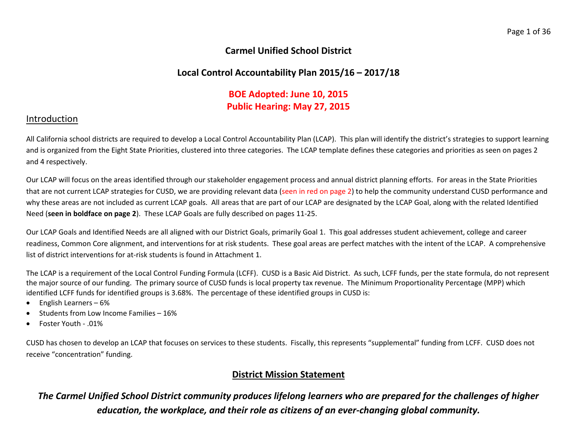## **Carmel Unified School District**

# **Local Control Accountability Plan 2015/16 – 2017/18**

# **BOE Adopted: June 10, 2015 Public Hearing: May 27, 2015**

## Introduction

All California school districts are required to develop a Local Control Accountability Plan (LCAP). This plan will identify the district's strategies to support learning and is organized from the Eight State Priorities, clustered into three categories. The LCAP template defines these categories and priorities as seen on pages 2 and 4 respectively.

Our LCAP will focus on the areas identified through our stakeholder engagement process and annual district planning efforts. For areas in the State Priorities that are not current LCAP strategies for CUSD, we are providing relevant data (seen in red on page 2) to help the community understand CUSD performance and why these areas are not included as current LCAP goals. All areas that are part of our LCAP are designated by the LCAP Goal, along with the related Identified Need (**seen in boldface on page 2**). These LCAP Goals are fully described on pages 11-25.

Our LCAP Goals and Identified Needs are all aligned with our District Goals, primarily Goal 1. This goal addresses student achievement, college and career readiness, Common Core alignment, and interventions for at risk students. These goal areas are perfect matches with the intent of the LCAP. A comprehensive list of district interventions for at-risk students is found in Attachment 1.

The LCAP is a requirement of the Local Control Funding Formula (LCFF). CUSD is a Basic Aid District. As such, LCFF funds, per the state formula, do not represent the major source of our funding. The primary source of CUSD funds is local property tax revenue. The Minimum Proportionality Percentage (MPP) which identified LCFF funds for identified groups is 3.68%. The percentage of these identified groups in CUSD is:

- English Learners 6%
- Students from Low Income Families 16%
- Foster Youth .01%

CUSD has chosen to develop an LCAP that focuses on services to these students. Fiscally, this represents "supplemental" funding from LCFF. CUSD does not receive "concentration" funding.

# **District Mission Statement**

*The Carmel Unified School District community produces lifelong learners who are prepared for the challenges of higher education, the workplace, and their role as citizens of an ever-changing global community.*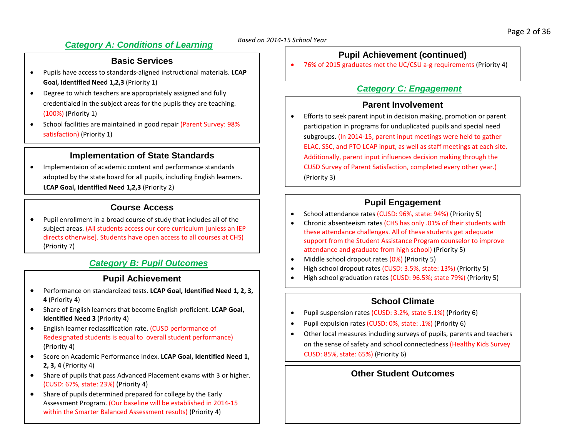# *Based on 2014-15 School Year Category A: Conditions of Learning*

## **Basic Services**

- Pupils have access to standards-aligned instructional materials. **LCAP Goal, Identified Need 1,2,3** (Priority 1)
- Degree to which teachers are appropriately assigned and fully credentialed in the subject areas for the pupils they are teaching. (100%) (Priority 1)
- School facilities are maintained in good repair (Parent Survey: 98% satisfaction) (Priority 1)

## **Implementation of State Standards**

• Implementaion of academic content and performance standards adopted by the state board for all pupils, including English learners. **LCAP Goal, Identified Need 1,2,3** (Priority 2)

## **Course Access**

• Pupil enrollment in a broad course of study that includes all of the subject areas. (All students access our core curriculum [unless an IEP directs otherwise]. Students have open access to all courses at CHS) (Priority 7)

## *Category B: Pupil Outcomes*

### **Pupil Achievement**

- Performance on standardized tests. **LCAP Goal, Identified Need 1, 2, 3, 4** (Priority 4)
- Share of English learners that become English proficient. **LCAP Goal, Identified Need 3** (Priority 4)
- English learner reclassification rate. (CUSD performance of Redesignated students is equal to overall student performance) (Priority 4)
- Score on Academic Performance Index. **LCAP Goal, Identified Need 1, 2, 3, 4** (Priority 4)
- Share of pupils that pass Advanced Placement exams with 3 or higher. (CUSD: 67%, state: 23%) (Priority 4)
- Share of pupils determined prepared for college by the Early Assessment Program. (Our baseline will be established in 2014-15 within the Smarter Balanced Assessment results) (Priority 4)

## **Pupil Achievement (continued)**

• 76% of 2015 graduates met the UC/CSU a-g requirements (Priority 4)

## *Category C: Engagement*

## **Parent Involvement**

• Efforts to seek parent input in decision making, promotion or parent participation in programs for unduplicated pupils and special need subgroups. (In 2014-15, parent input meetings were held to gather ELAC, SSC, and PTO LCAP input, as well as staff meetings at each site. Additionally, parent input influences decision making through the CUSD Survey of Parent Satisfaction, completed every other year.) (Priority 3)

## **Pupil Engagement**

- School attendance rates (CUSD: 96%, state: 94%) (Priority 5)
- Chronic absenteeism rates (CHS has only .01% of their students with these attendance challenges. All of these students get adequate support from the Student Assistance Program counselor to improve attendance and graduate from high school) (Priority 5)
- Middle school dropout rates (0%) (Priority 5)
- High school dropout rates (CUSD: 3.5%, state: 13%) (Priority 5)
- High school graduation rates (CUSD: 96.5%; state 79%) (Priority 5)

## **School Climate**

- Pupil suspension rates (CUSD: 3.2%, state 5.1%) (Priority 6)
- Pupil expulsion rates (CUSD: 0%, state: .1%) (Priority 6)
- Other local measures including surveys of pupils, parents and teachers on the sense of safety and school connectedness (Healthy Kids Survey CUSD: 85%, state: 65%) (Priority 6)

# **Other Student Outcomes**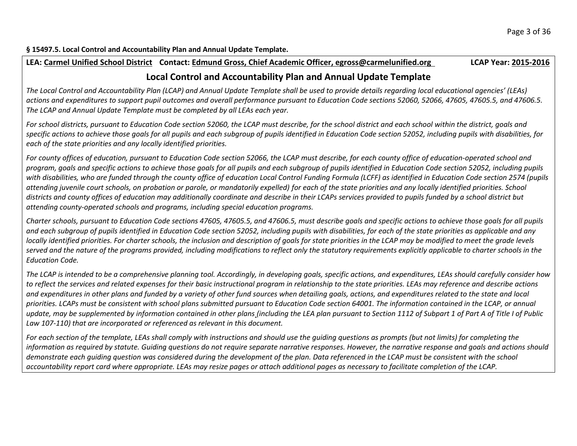**§ 15497.5. Local Control and Accountability Plan and Annual Update Template.**

### **LEA: Carmel Unified School District Contact: Edmund Gross, Chief Academic Officer, egross@carmelunified.org LCAP Year: 2015-2016**

## **Local Control and Accountability Plan and Annual Update Template**

*The Local Control and Accountability Plan (LCAP) and Annual Update Template shall be used to provide details regarding local educational agencies' (LEAs) actions and expenditures to support pupil outcomes and overall performance pursuant to Education Code sections 52060, 52066, 47605, 47605.5, and 47606.5. The LCAP and Annual Update Template must be completed by all LEAs each year.*

*For school districts, pursuant to Education Code section 52060, the LCAP must describe, for the school district and each school within the district, goals and specific actions to achieve those goals for all pupils and each subgroup of pupils identified in Education Code section 52052, including pupils with disabilities, for each of the state priorities and any locally identified priorities.*

*For county offices of education, pursuant to Education Code section 52066, the LCAP must describe, for each county office of education-operated school and program, goals and specific actions to achieve those goals for all pupils and each subgroup of pupils identified in Education Code section 52052, including pupils with disabilities, who are funded through the county office of education Local Control Funding Formula (LCFF) as identified in Education Code section 2574 (pupils attending juvenile court schools, on probation or parole, or mandatorily expelled) for each of the state priorities and any locally identified priorities. School districts and county offices of education may additionally coordinate and describe in their LCAPs services provided to pupils funded by a school district but attending county-operated schools and programs, including special education programs.*

*Charter schools, pursuant to Education Code sections 47605, 47605.5, and 47606.5, must describe goals and specific actions to achieve those goals for all pupils and each subgroup of pupils identified in Education Code section 52052, including pupils with disabilities, for each of the state priorities as applicable and any locally identified priorities. For charter schools, the inclusion and description of goals for state priorities in the LCAP may be modified to meet the grade levels served and the nature of the programs provided, including modifications to reflect only the statutory requirements explicitly applicable to charter schools in the Education Code.*

*The LCAP is intended to be a comprehensive planning tool. Accordingly, in developing goals, specific actions, and expenditures, LEAs should carefully consider how to reflect the services and related expenses for their basic instructional program in relationship to the state priorities. LEAs may reference and describe actions and expenditures in other plans and funded by a variety of other fund sources when detailing goals, actions, and expenditures related to the state and local priorities. LCAPs must be consistent with school plans submitted pursuant to Education Code section 64001. The information contained in the LCAP, or annual update, may be supplemented by information contained in other plans (including the LEA plan pursuant to Section 1112 of Subpart 1 of Part A of Title I of Public Law 107-110) that are incorporated or referenced as relevant in this document.*

*For each section of the template, LEAs shall comply with instructions and should use the guiding questions as prompts (but not limits) for completing the information as required by statute. Guiding questions do not require separate narrative responses. However, the narrative response and goals and actions should demonstrate each guiding question was considered during the development of the plan. Data referenced in the LCAP must be consistent with the school accountability report card where appropriate. LEAs may resize pages or attach additional pages as necessary to facilitate completion of the LCAP.*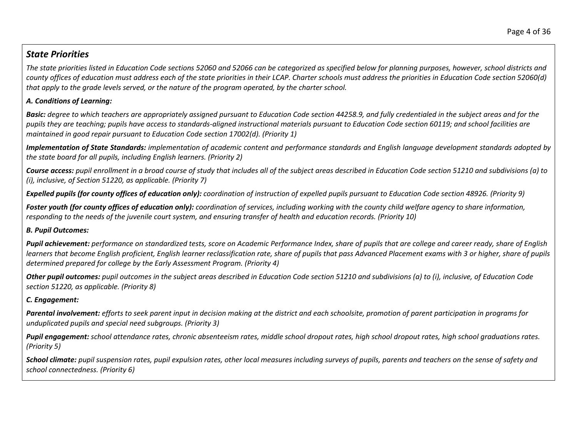# *State Priorities*

*The state priorities listed in Education Code sections 52060 and 52066 can be categorized as specified below for planning purposes, however, school districts and county offices of education must address each of the state priorities in their LCAP. Charter schools must address the priorities in Education Code section 52060(d) that apply to the grade levels served, or the nature of the program operated, by the charter school.*

## *A. Conditions of Learning:*

**Basic:** degree to which teachers are appropriately assigned pursuant to Education Code section 44258.9, and fully credentialed in the subject areas and for the *pupils they are teaching; pupils have access to standards-aligned instructional materials pursuant to Education Code section 60119; and school facilities are maintained in good repair pursuant to Education Code section 17002(d). (Priority 1)*

*Implementation of State Standards: implementation of academic content and performance standards and English language development standards adopted by the state board for all pupils, including English learners. (Priority 2)*

*Course access: pupil enrollment in a broad course of study that includes all of the subject areas described in Education Code section 51210 and subdivisions (a) to (i), inclusive, of Section 51220, as applicable. (Priority 7)*

*Expelled pupils (for county offices of education only): coordination of instruction of expelled pupils pursuant to Education Code section 48926. (Priority 9)*

*Foster youth (for county offices of education only): coordination of services, including working with the county child welfare agency to share information, responding to the needs of the juvenile court system, and ensuring transfer of health and education records. (Priority 10)*

### *B. Pupil Outcomes:*

*Pupil achievement: performance on standardized tests, score on Academic Performance Index, share of pupils that are college and career ready, share of English learners that become English proficient, English learner reclassification rate, share of pupils that pass Advanced Placement exams with 3 or higher, share of pupils determined prepared for college by the Early Assessment Program. (Priority 4)*

*Other pupil outcomes: pupil outcomes in the subject areas described in Education Code section 51210 and subdivisions (a) to (i), inclusive, of Education Code section 51220, as applicable. (Priority 8)*

### *C. Engagement:*

*Parental involvement: efforts to seek parent input in decision making at the district and each schoolsite, promotion of parent participation in programs for unduplicated pupils and special need subgroups. (Priority 3)*

*Pupil engagement: school attendance rates, chronic absenteeism rates, middle school dropout rates, high school dropout rates, high school graduations rates. (Priority 5)*

*School climate: pupil suspension rates, pupil expulsion rates, other local measures including surveys of pupils, parents and teachers on the sense of safety and school connectedness. (Priority 6)*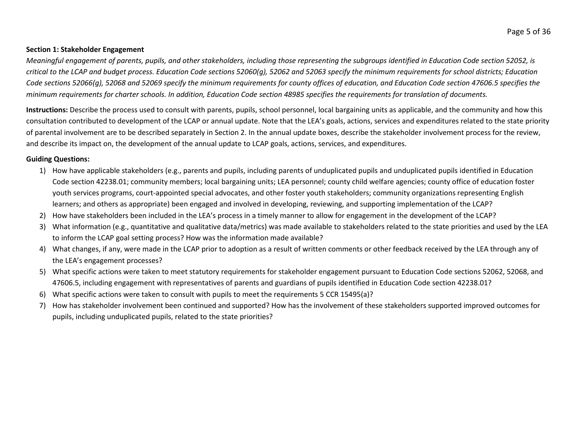#### **Section 1: Stakeholder Engagement**

*Meaningful engagement of parents, pupils, and other stakeholders, including those representing the subgroups identified in Education Code section 52052, is critical to the LCAP and budget process. Education Code sections 52060(g), 52062 and 52063 specify the minimum requirements for school districts; Education Code sections 52066(g), 52068 and 52069 specify the minimum requirements for county offices of education, and Education Code section 47606.5 specifies the minimum requirements for charter schools. In addition, Education Code section 48985 specifies the requirements for translation of documents.*

**Instructions:** Describe the process used to consult with parents, pupils, school personnel, local bargaining units as applicable, and the community and how this consultation contributed to development of the LCAP or annual update. Note that the LEA's goals, actions, services and expenditures related to the state priority of parental involvement are to be described separately in Section 2. In the annual update boxes, describe the stakeholder involvement process for the review, and describe its impact on, the development of the annual update to LCAP goals, actions, services, and expenditures.

#### **Guiding Questions:**

- 1) How have applicable stakeholders (e.g., parents and pupils, including parents of unduplicated pupils and unduplicated pupils identified in Education Code section 42238.01; community members; local bargaining units; LEA personnel; county child welfare agencies; county office of education foster youth services programs, court-appointed special advocates, and other foster youth stakeholders; community organizations representing English learners; and others as appropriate) been engaged and involved in developing, reviewing, and supporting implementation of the LCAP?
- 2) How have stakeholders been included in the LEA's process in a timely manner to allow for engagement in the development of the LCAP?
- 3) What information (e.g., quantitative and qualitative data/metrics) was made available to stakeholders related to the state priorities and used by the LEA to inform the LCAP goal setting process? How was the information made available?
- 4) What changes, if any, were made in the LCAP prior to adoption as a result of written comments or other feedback received by the LEA through any of the LEA's engagement processes?
- 5) What specific actions were taken to meet statutory requirements for stakeholder engagement pursuant to Education Code sections 52062, 52068, and 47606.5, including engagement with representatives of parents and guardians of pupils identified in Education Code section 42238.01?
- 6) What specific actions were taken to consult with pupils to meet the requirements 5 CCR 15495(a)?
- 7) How has stakeholder involvement been continued and supported? How has the involvement of these stakeholders supported improved outcomes for pupils, including unduplicated pupils, related to the state priorities?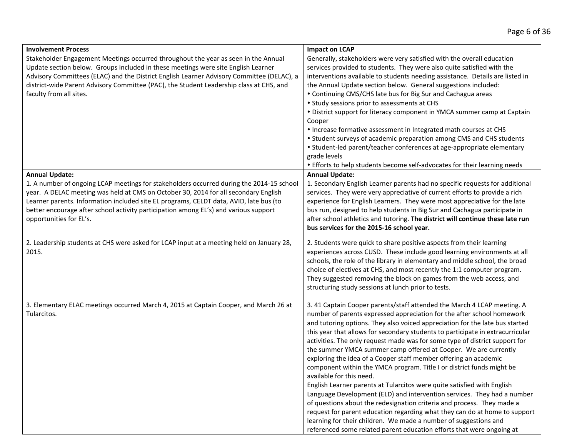| <b>Involvement Process</b>                                                                                                                                                                                                                                                                                                                                                                                            | <b>Impact on LCAP</b>                                                                                                                                                                                                                                                                                                                                                                                                                                                                                                                                                                                                                                                                                                                                                                                                                                                                                                                                                                                                                                                                                    |
|-----------------------------------------------------------------------------------------------------------------------------------------------------------------------------------------------------------------------------------------------------------------------------------------------------------------------------------------------------------------------------------------------------------------------|----------------------------------------------------------------------------------------------------------------------------------------------------------------------------------------------------------------------------------------------------------------------------------------------------------------------------------------------------------------------------------------------------------------------------------------------------------------------------------------------------------------------------------------------------------------------------------------------------------------------------------------------------------------------------------------------------------------------------------------------------------------------------------------------------------------------------------------------------------------------------------------------------------------------------------------------------------------------------------------------------------------------------------------------------------------------------------------------------------|
| Stakeholder Engagement Meetings occurred throughout the year as seen in the Annual<br>Update section below. Groups included in these meetings were site English Learner<br>Advisory Committees (ELAC) and the District English Learner Advisory Committee (DELAC), a<br>district-wide Parent Advisory Committee (PAC), the Student Leadership class at CHS, and<br>faculty from all sites.                            | Generally, stakeholders were very satisfied with the overall education<br>services provided to students. They were also quite satisfied with the<br>interventions available to students needing assistance. Details are listed in<br>the Annual Update section below. General suggestions included:<br>• Continuing CMS/CHS late bus for Big Sur and Cachagua areas<br>• Study sessions prior to assessments at CHS<br>• District support for literacy component in YMCA summer camp at Captain<br>Cooper<br>. Increase formative assessment in Integrated math courses at CHS<br>• Student surveys of academic preparation among CMS and CHS students<br>• Student-led parent/teacher conferences at age-appropriate elementary<br>grade levels<br>• Efforts to help students become self-advocates for their learning needs                                                                                                                                                                                                                                                                            |
| <b>Annual Update:</b><br>1. A number of ongoing LCAP meetings for stakeholders occurred during the 2014-15 school<br>year. A DELAC meeting was held at CMS on October 30, 2014 for all secondary English<br>Learner parents. Information included site EL programs, CELDT data, AVID, late bus (to<br>better encourage after school activity participation among EL's) and various support<br>opportunities for EL's. | <b>Annual Update:</b><br>1. Secondary English Learner parents had no specific requests for additional<br>services. They were very appreciative of current efforts to provide a rich<br>experience for English Learners. They were most appreciative for the late<br>bus run, designed to help students in Big Sur and Cachagua participate in<br>after school athletics and tutoring. The district will continue these late run<br>bus services for the 2015-16 school year.                                                                                                                                                                                                                                                                                                                                                                                                                                                                                                                                                                                                                             |
| 2. Leadership students at CHS were asked for LCAP input at a meeting held on January 28,<br>2015.                                                                                                                                                                                                                                                                                                                     | 2. Students were quick to share positive aspects from their learning<br>experiences across CUSD. These include good learning environments at all<br>schools, the role of the library in elementary and middle school, the broad<br>choice of electives at CHS, and most recently the 1:1 computer program.<br>They suggested removing the block on games from the web access, and<br>structuring study sessions at lunch prior to tests.                                                                                                                                                                                                                                                                                                                                                                                                                                                                                                                                                                                                                                                                 |
| 3. Elementary ELAC meetings occurred March 4, 2015 at Captain Cooper, and March 26 at<br>Tularcitos.                                                                                                                                                                                                                                                                                                                  | 3.41 Captain Cooper parents/staff attended the March 4 LCAP meeting. A<br>number of parents expressed appreciation for the after school homework<br>and tutoring options. They also voiced appreciation for the late bus started<br>this year that allows for secondary students to participate in extracurricular<br>activities. The only request made was for some type of district support for<br>the summer YMCA summer camp offered at Cooper. We are currently<br>exploring the idea of a Cooper staff member offering an academic<br>component within the YMCA program. Title I or district funds might be<br>available for this need.<br>English Learner parents at Tularcitos were quite satisfied with English<br>Language Development (ELD) and intervention services. They had a number<br>of questions about the redesignation criteria and process. They made a<br>request for parent education regarding what they can do at home to support<br>learning for their children. We made a number of suggestions and<br>referenced some related parent education efforts that were ongoing at |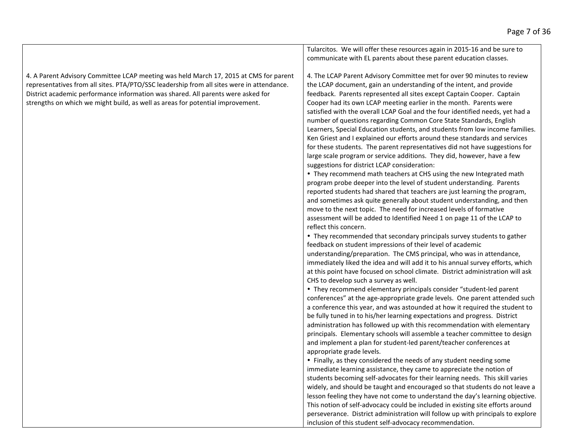4. A Parent Advisory Committee LCAP meeting was held March 17, 2015 at CMS for parent representatives from all sites. PTA/PTO/SSC leadership from all sites were in attendance. District academic performance information was shared. All parents were asked for strengths on which we might build, as well as areas for potential improvement.

Tularcitos. We will offer these resources again in 2015-16 and be sure to communicate with EL parents about these parent education classes.

4. The LCAP Parent Advisory Committee met for over 90 minutes to review the LCAP document, gain an understanding of the intent, and provide feedback. Parents represented all sites except Captain Cooper. Captain Cooper had its own LCAP meeting earlier in the month. Parents were satisfied with the overall LCAP Goal and the four identified needs, yet had a number of questions regarding Common Core State Standards, English Learners, Special Education students, and students from low income families. Ken Griest and I explained our efforts around these standards and services for these students. The parent representatives did not have suggestions for large scale program or service additions. They did, however, have a few suggestions for district LCAP consideration:

 They recommend math teachers at CHS using the new Integrated math program probe deeper into the level of student understanding. Parents reported students had shared that teachers are just learning the program, and sometimes ask quite generally about student understanding, and then move to the next topic. The need for increased levels of formative assessment will be added to Identified Need 1 on page 11 of the LCAP to reflect this concern.

 They recommended that secondary principals survey students to gather feedback on student impressions of their level of academic understanding/preparation. The CMS principal, who was in attendance, immediately liked the idea and will add it to his annual survey efforts, which at this point have focused on school climate. District administration will ask CHS to develop such a survey as well.

 They recommend elementary principals consider "student-led parent conferences" at the age-appropriate grade levels. One parent attended such a conference this year, and was astounded at how it required the student to be fully tuned in to his/her learning expectations and progress. District administration has followed up with this recommendation with elementary principals. Elementary schools will assemble a teacher committee to design and implement a plan for student-led parent/teacher conferences at appropriate grade levels.

• Finally, as they considered the needs of any student needing some immediate learning assistance, they came to appreciate the notion of students becoming self-advocates for their learning needs. This skill varies widely, and should be taught and encouraged so that students do not leave a lesson feeling they have not come to understand the day's learning objective. This notion of self-advocacy could be included in existing site efforts around perseverance. District administration will follow up with principals to explore inclusion of this student self-advocacy recommendation.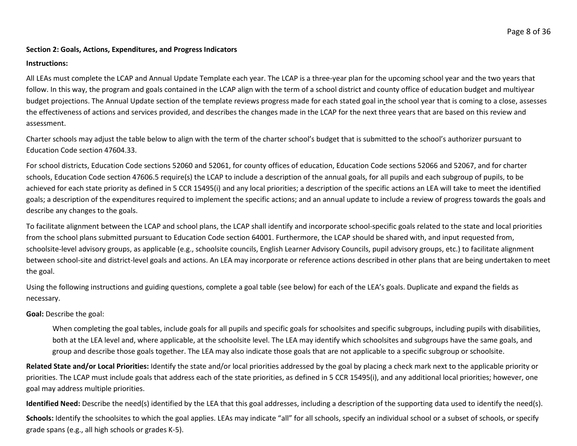#### Page 8 of 36

#### **Section 2: Goals, Actions, Expenditures, and Progress Indicators**

#### **Instructions:**

All LEAs must complete the LCAP and Annual Update Template each year. The LCAP is a three-year plan for the upcoming school year and the two years that follow. In this way, the program and goals contained in the LCAP align with the term of a school district and county office of education budget and multiyear budget projections. The Annual Update section of the template reviews progress made for each stated goal in the school year that is coming to a close, assesses the effectiveness of actions and services provided, and describes the changes made in the LCAP for the next three years that are based on this review and assessment.

Charter schools may adjust the table below to align with the term of the charter school's budget that is submitted to the school's authorizer pursuant to Education Code section 47604.33.

For school districts, Education Code sections 52060 and 52061, for county offices of education, Education Code sections 52066 and 52067, and for charter schools, Education Code section 47606.5 require(s) the LCAP to include a description of the annual goals, for all pupils and each subgroup of pupils, to be achieved for each state priority as defined in 5 CCR 15495(i) and any local priorities; a description of the specific actions an LEA will take to meet the identified goals; a description of the expenditures required to implement the specific actions; and an annual update to include a review of progress towards the goals and describe any changes to the goals.

To facilitate alignment between the LCAP and school plans, the LCAP shall identify and incorporate school-specific goals related to the state and local priorities from the school plans submitted pursuant to Education Code section 64001. Furthermore, the LCAP should be shared with, and input requested from, schoolsite-level advisory groups, as applicable (e.g., schoolsite councils, English Learner Advisory Councils, pupil advisory groups, etc.) to facilitate alignment between school-site and district-level goals and actions. An LEA may incorporate or reference actions described in other plans that are being undertaken to meet the goal.

Using the following instructions and guiding questions, complete a goal table (see below) for each of the LEA's goals. Duplicate and expand the fields as necessary.

**Goal:** Describe the goal:

When completing the goal tables, include goals for all pupils and specific goals for schoolsites and specific subgroups, including pupils with disabilities, both at the LEA level and, where applicable, at the schoolsite level. The LEA may identify which schoolsites and subgroups have the same goals, and group and describe those goals together. The LEA may also indicate those goals that are not applicable to a specific subgroup or schoolsite.

**Related State and/or Local Priorities:** Identify the state and/or local priorities addressed by the goal by placing a check mark next to the applicable priority or priorities. The LCAP must include goals that address each of the state priorities, as defined in 5 CCR 15495(i), and any additional local priorities; however, one goal may address multiple priorities.

**Identified Need:** Describe the need(s) identified by the LEA that this goal addresses, including a description of the supporting data used to identify the need(s).

Schools: Identify the schoolsites to which the goal applies. LEAs may indicate "all" for all schools, specify an individual school or a subset of schools, or specify grade spans (e.g., all high schools or grades K-5).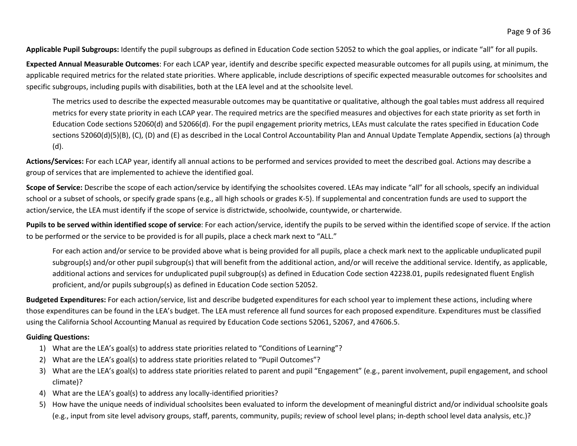**Applicable Pupil Subgroups:** Identify the pupil subgroups as defined in Education Code section 52052 to which the goal applies, or indicate "all" for all pupils.

**Expected Annual Measurable Outcomes**: For each LCAP year, identify and describe specific expected measurable outcomes for all pupils using, at minimum, the applicable required metrics for the related state priorities. Where applicable, include descriptions of specific expected measurable outcomes for schoolsites and specific subgroups, including pupils with disabilities, both at the LEA level and at the schoolsite level.

The metrics used to describe the expected measurable outcomes may be quantitative or qualitative, although the goal tables must address all required metrics for every state priority in each LCAP year. The required metrics are the specified measures and objectives for each state priority as set forth in Education Code sections 52060(d) and 52066(d). For the pupil engagement priority metrics, LEAs must calculate the rates specified in Education Code sections 52060(d)(5)(B), (C), (D) and (E) as described in the Local Control Accountability Plan and Annual Update Template Appendix, sections (a) through (d).

**Actions/Services:** For each LCAP year, identify all annual actions to be performed and services provided to meet the described goal. Actions may describe a group of services that are implemented to achieve the identified goal.

Scope of Service: Describe the scope of each action/service by identifying the schoolsites covered. LEAs may indicate "all" for all schools, specify an individual school or a subset of schools, or specify grade spans (e.g., all high schools or grades K-5). If supplemental and concentration funds are used to support the action/service, the LEA must identify if the scope of service is districtwide, schoolwide, countywide, or charterwide.

**Pupils to be served within identified scope of service**: For each action/service, identify the pupils to be served within the identified scope of service. If the action to be performed or the service to be provided is for all pupils, place a check mark next to "ALL."

For each action and/or service to be provided above what is being provided for all pupils, place a check mark next to the applicable unduplicated pupil subgroup(s) and/or other pupil subgroup(s) that will benefit from the additional action, and/or will receive the additional service. Identify, as applicable, additional actions and services for unduplicated pupil subgroup(s) as defined in Education Code section 42238.01, pupils redesignated fluent English proficient, and/or pupils subgroup(s) as defined in Education Code section 52052.

**Budgeted Expenditures:** For each action/service, list and describe budgeted expenditures for each school year to implement these actions, including where those expenditures can be found in the LEA's budget. The LEA must reference all fund sources for each proposed expenditure. Expenditures must be classified using the California School Accounting Manual as required by Education Code sections 52061, 52067, and 47606.5.

### **Guiding Questions:**

- 1) What are the LEA's goal(s) to address state priorities related to "Conditions of Learning"?
- 2) What are the LEA's goal(s) to address state priorities related to "Pupil Outcomes"?
- 3) What are the LEA's goal(s) to address state priorities related to parent and pupil "Engagement" (e.g., parent involvement, pupil engagement, and school climate)?
- 4) What are the LEA's goal(s) to address any locally-identified priorities?
- 5) How have the unique needs of individual schoolsites been evaluated to inform the development of meaningful district and/or individual schoolsite goals (e.g., input from site level advisory groups, staff, parents, community, pupils; review of school level plans; in-depth school level data analysis, etc.)?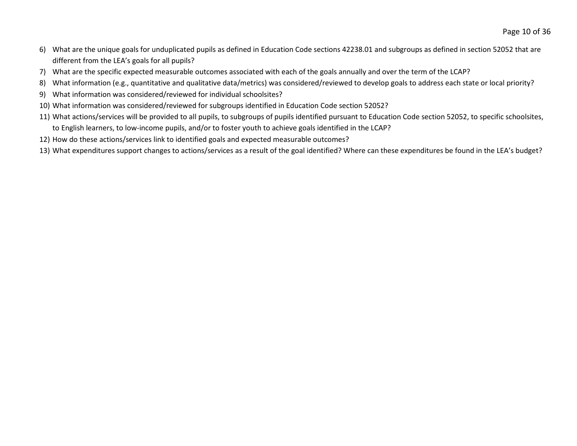- 6) What are the unique goals for unduplicated pupils as defined in Education Code sections 42238.01 and subgroups as defined in section 52052 that are different from the LEA's goals for all pupils?
- 7) What are the specific expected measurable outcomes associated with each of the goals annually and over the term of the LCAP?
- 8) What information (e.g., quantitative and qualitative data/metrics) was considered/reviewed to develop goals to address each state or local priority?
- 9) What information was considered/reviewed for individual schoolsites?
- 10) What information was considered/reviewed for subgroups identified in Education Code section 52052?
- 11) What actions/services will be provided to all pupils, to subgroups of pupils identified pursuant to Education Code section 52052, to specific schoolsites, to English learners, to low-income pupils, and/or to foster youth to achieve goals identified in the LCAP?
- 12) How do these actions/services link to identified goals and expected measurable outcomes?
- 13) What expenditures support changes to actions/services as a result of the goal identified? Where can these expenditures be found in the LEA's budget?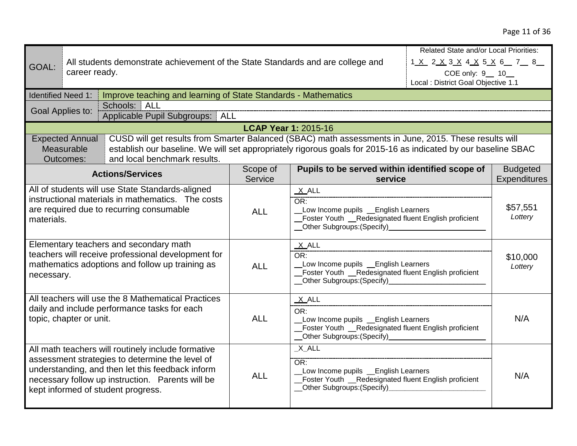|                                                                                                                                                                 |                                                   | All students demonstrate achievement of the State Standards and are college and                                                                                                                                                                     |                                                                                                                                                               |                                                                                                                                                        | Related State and/or Local Priorities:<br>1 <u>X</u> 2 <u>X</u> 3 X 4 <u>X</u> 5 X 6 7 8 |                                        |
|-----------------------------------------------------------------------------------------------------------------------------------------------------------------|---------------------------------------------------|-----------------------------------------------------------------------------------------------------------------------------------------------------------------------------------------------------------------------------------------------------|---------------------------------------------------------------------------------------------------------------------------------------------------------------|--------------------------------------------------------------------------------------------------------------------------------------------------------|------------------------------------------------------------------------------------------|----------------------------------------|
| GOAL:                                                                                                                                                           | career ready.                                     |                                                                                                                                                                                                                                                     |                                                                                                                                                               |                                                                                                                                                        | COE only: 9_ 10_                                                                         |                                        |
|                                                                                                                                                                 |                                                   |                                                                                                                                                                                                                                                     |                                                                                                                                                               |                                                                                                                                                        | Local : District Goal Objective 1.1                                                      |                                        |
| <b>Identified Need 1:</b>                                                                                                                                       |                                                   | Improve teaching and learning of State Standards - Mathematics                                                                                                                                                                                      |                                                                                                                                                               |                                                                                                                                                        |                                                                                          |                                        |
|                                                                                                                                                                 | Goal Applies to:                                  | Schools: ALL                                                                                                                                                                                                                                        |                                                                                                                                                               |                                                                                                                                                        |                                                                                          |                                        |
|                                                                                                                                                                 |                                                   | Applicable Pupil Subgroups: ALL                                                                                                                                                                                                                     |                                                                                                                                                               |                                                                                                                                                        |                                                                                          |                                        |
|                                                                                                                                                                 |                                                   | CUSD will get results from Smarter Balanced (SBAC) math assessments in June, 2015. These results will                                                                                                                                               |                                                                                                                                                               | <b>LCAP Year 1: 2015-16</b>                                                                                                                            |                                                                                          |                                        |
|                                                                                                                                                                 | <b>Expected Annual</b><br>Measurable<br>Outcomes: | establish our baseline. We will set appropriately rigorous goals for 2015-16 as indicated by our baseline SBAC<br>and local benchmark results.                                                                                                      |                                                                                                                                                               |                                                                                                                                                        |                                                                                          |                                        |
|                                                                                                                                                                 |                                                   | <b>Actions/Services</b>                                                                                                                                                                                                                             | Scope of<br>Service                                                                                                                                           | Pupils to be served within identified scope of<br>service                                                                                              |                                                                                          | <b>Budgeted</b><br><b>Expenditures</b> |
| All of students will use State Standards-aligned<br>instructional materials in mathematics. The costs<br>are required due to recurring consumable<br>materials. |                                                   | <b>ALL</b>                                                                                                                                                                                                                                          | $X$ ALL<br>OR:<br>Low Income pupils _English Learners<br>Foster Youth _Redesignated fluent English proficient<br>_Other Subgroups:(Specify)__________________ |                                                                                                                                                        | \$57,551<br>Lottery                                                                      |                                        |
| Elementary teachers and secondary math<br>teachers will receive professional development for<br>mathematics adoptions and follow up training as<br>necessary.   |                                                   |                                                                                                                                                                                                                                                     | <b>ALL</b>                                                                                                                                                    | $X$ ALL<br>OR:<br>Low Income pupils _ English Learners<br>Foster Youth _Redesignated fluent English proficient<br>_Other Subgroups: (Specify)_         |                                                                                          | \$10,000<br>Lottery                    |
| All teachers will use the 8 Mathematical Practices<br>daily and include performance tasks for each<br>topic, chapter or unit.                                   |                                                   | <b>ALL</b>                                                                                                                                                                                                                                          | $X$ ALL<br>OR:<br>Low Income pupils _ English Learners<br>_Foster Youth __Redesignated fluent English proficient<br>__Other Subgroups:(Specify)______________ |                                                                                                                                                        | N/A                                                                                      |                                        |
|                                                                                                                                                                 |                                                   | All math teachers will routinely include formative<br>assessment strategies to determine the level of<br>understanding, and then let this feedback inform<br>necessary follow up instruction. Parents will be<br>kept informed of student progress. | <b>ALL</b>                                                                                                                                                    | $X$ $ALL$<br>OR:<br>Low Income pupils _ English Learners<br>Foster Youth __Redesignated fluent English proficient<br><b>Other Subgroups: (Specify)</b> |                                                                                          | N/A                                    |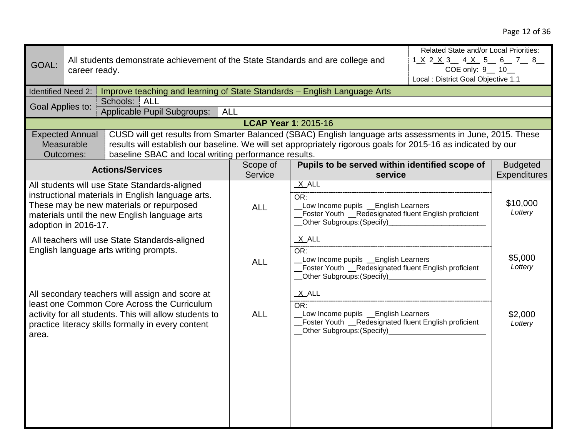|                           |                        | Related State and/or Local Priorities:                                                                        |                                     |                                                                                               |                              |                     |  |
|---------------------------|------------------------|---------------------------------------------------------------------------------------------------------------|-------------------------------------|-----------------------------------------------------------------------------------------------|------------------------------|---------------------|--|
| GOAL:                     |                        | All students demonstrate achievement of the State Standards and are college and                               |                                     |                                                                                               | 1 <u>X 2 X 3 4 X 5 6 7 8</u> |                     |  |
|                           | career ready.          |                                                                                                               |                                     |                                                                                               | COE only: 9 __ 10_           |                     |  |
|                           |                        |                                                                                                               | Local : District Goal Objective 1.1 |                                                                                               |                              |                     |  |
| <b>Identified Need 2:</b> |                        | Improve teaching and learning of State Standards - English Language Arts                                      |                                     |                                                                                               |                              |                     |  |
| Goal Applies to:          |                        | Schools: ALL                                                                                                  |                                     |                                                                                               |                              |                     |  |
|                           |                        | Applicable Pupil Subgroups:   ALL                                                                             |                                     |                                                                                               |                              |                     |  |
|                           |                        |                                                                                                               | <b>LCAP Year 1: 2015-16</b>         |                                                                                               |                              |                     |  |
|                           | <b>Expected Annual</b> | CUSD will get results from Smarter Balanced (SBAC) English language arts assessments in June, 2015. These     |                                     |                                                                                               |                              |                     |  |
|                           | Measurable             | results will establish our baseline. We will set appropriately rigorous goals for 2015-16 as indicated by our |                                     |                                                                                               |                              |                     |  |
|                           | Outcomes:              | baseline SBAC and local writing performance results.                                                          |                                     |                                                                                               |                              |                     |  |
|                           |                        | <b>Actions/Services</b>                                                                                       | Scope of                            | Pupils to be served within identified scope of                                                |                              | <b>Budgeted</b>     |  |
|                           |                        |                                                                                                               | Service                             | service                                                                                       |                              | <b>Expenditures</b> |  |
|                           |                        | All students will use State Standards-aligned                                                                 |                                     | $X$ ALL                                                                                       |                              |                     |  |
|                           |                        | instructional materials in English language arts.                                                             |                                     | OR:                                                                                           |                              |                     |  |
|                           |                        | These may be new materials or repurposed                                                                      | <b>ALL</b>                          | Low Income pupils _ English Learners                                                          |                              | \$10,000            |  |
|                           |                        | materials until the new English language arts                                                                 |                                     | Foster Youth _Redesignated fluent English proficient                                          |                              | Lottery             |  |
| adoption in 2016-17.      |                        |                                                                                                               |                                     | __Other Subgroups: (Specify)______________                                                    |                              |                     |  |
|                           |                        | All teachers will use State Standards-aligned                                                                 |                                     | $X$ ALL                                                                                       |                              |                     |  |
|                           |                        | English language arts writing prompts.                                                                        |                                     | OR:                                                                                           |                              |                     |  |
|                           |                        |                                                                                                               | <b>ALL</b>                          | Low Income pupils _ English Learners<br>_Foster Youth _Redesignated fluent English proficient |                              | \$5,000             |  |
|                           |                        |                                                                                                               |                                     |                                                                                               |                              | Lottery             |  |
|                           |                        |                                                                                                               |                                     | __Other Subgroups:(Specify)___________________                                                |                              |                     |  |
|                           |                        | All secondary teachers will assign and score at                                                               |                                     | $X$ ALL                                                                                       |                              |                     |  |
|                           |                        | least one Common Core Across the Curriculum                                                                   |                                     | OR:                                                                                           |                              |                     |  |
|                           |                        | activity for all students. This will allow students to                                                        | <b>ALL</b>                          | Low Income pupils _ English Learners                                                          |                              | \$2,000             |  |
|                           |                        | practice literacy skills formally in every content                                                            |                                     | _Foster Youth _Redesignated fluent English proficient                                         |                              | Lottery             |  |
| area.                     |                        |                                                                                                               |                                     | __Other Subgroups:(Specify)________________                                                   |                              |                     |  |
|                           |                        |                                                                                                               |                                     |                                                                                               |                              |                     |  |
|                           |                        |                                                                                                               |                                     |                                                                                               |                              |                     |  |
|                           |                        |                                                                                                               |                                     |                                                                                               |                              |                     |  |
|                           |                        |                                                                                                               |                                     |                                                                                               |                              |                     |  |
|                           |                        |                                                                                                               |                                     |                                                                                               |                              |                     |  |
|                           |                        |                                                                                                               |                                     |                                                                                               |                              |                     |  |
|                           |                        |                                                                                                               |                                     |                                                                                               |                              |                     |  |
|                           |                        |                                                                                                               |                                     |                                                                                               |                              |                     |  |
|                           |                        |                                                                                                               |                                     |                                                                                               |                              |                     |  |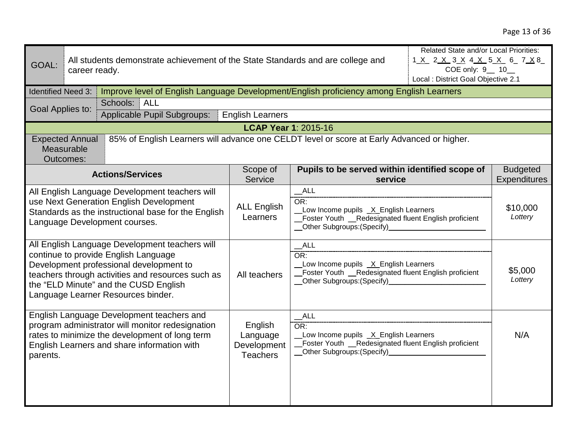| GOAL:                                                                                                                                                                                                                                                                 | Related State and/or Local Priorities:<br>All students demonstrate achievement of the State Standards and are college and<br>1 <u>X</u> 2 <u>X</u> 3 X 4 X 5 X 6 7 X 8<br>COE only: 9_ 10_<br>career ready.<br>Local : District Goal Objective 2.1 |                                                                                                                                                                                                |                                                                                                               |                                                                                                                                                 |                     |                                        |
|-----------------------------------------------------------------------------------------------------------------------------------------------------------------------------------------------------------------------------------------------------------------------|----------------------------------------------------------------------------------------------------------------------------------------------------------------------------------------------------------------------------------------------------|------------------------------------------------------------------------------------------------------------------------------------------------------------------------------------------------|---------------------------------------------------------------------------------------------------------------|-------------------------------------------------------------------------------------------------------------------------------------------------|---------------------|----------------------------------------|
| <b>Identified Need 3:</b>                                                                                                                                                                                                                                             |                                                                                                                                                                                                                                                    | Improve level of English Language Development/English proficiency among English Learners                                                                                                       |                                                                                                               |                                                                                                                                                 |                     |                                        |
| Goal Applies to:                                                                                                                                                                                                                                                      |                                                                                                                                                                                                                                                    | Schools:<br><b>ALL</b>                                                                                                                                                                         |                                                                                                               |                                                                                                                                                 |                     |                                        |
|                                                                                                                                                                                                                                                                       |                                                                                                                                                                                                                                                    | Applicable Pupil Subgroups:                                                                                                                                                                    | <b>English Learners</b>                                                                                       |                                                                                                                                                 |                     |                                        |
|                                                                                                                                                                                                                                                                       |                                                                                                                                                                                                                                                    |                                                                                                                                                                                                | <b>LCAP Year 1: 2015-16</b>                                                                                   |                                                                                                                                                 |                     |                                        |
|                                                                                                                                                                                                                                                                       | <b>Expected Annual</b><br>Measurable<br>Outcomes:                                                                                                                                                                                                  | 85% of English Learners will advance one CELDT level or score at Early Advanced or higher.                                                                                                     |                                                                                                               |                                                                                                                                                 |                     |                                        |
|                                                                                                                                                                                                                                                                       |                                                                                                                                                                                                                                                    | <b>Actions/Services</b>                                                                                                                                                                        | Scope of<br>Service                                                                                           | Pupils to be served within identified scope of<br>service                                                                                       |                     | <b>Budgeted</b><br><b>Expenditures</b> |
| All English Language Development teachers will<br>use Next Generation English Development<br>Standards as the instructional base for the English<br>Language Development courses.                                                                                     |                                                                                                                                                                                                                                                    | <b>ALL English</b><br>Learners                                                                                                                                                                 | $\_AL$<br>OR:<br>Low Income pupils X English Learners<br>Foster Youth _Redesignated fluent English proficient |                                                                                                                                                 | \$10,000<br>Lottery |                                        |
| All English Language Development teachers will<br>continue to provide English Language<br>Development professional development to<br>teachers through activities and resources such as<br>the "ELD Minute" and the CUSD English<br>Language Learner Resources binder. |                                                                                                                                                                                                                                                    |                                                                                                                                                                                                | All teachers                                                                                                  | $\_$ ALL<br>OR:<br>Low Income pupils _X_English Learners<br>Foster Youth _Redesignated fluent English proficient<br>_Other Subgroups:(Specify)_ |                     | \$5,000<br>Lottery                     |
| parents.                                                                                                                                                                                                                                                              |                                                                                                                                                                                                                                                    | English Language Development teachers and<br>program administrator will monitor redesignation<br>rates to minimize the development of long term<br>English Learners and share information with | English<br>Language<br>Development<br><b>Teachers</b>                                                         | $\_ALL$<br>OR:<br>Low Income pupils _X_English Learners<br>Foster Youth _Redesignated fluent English proficient                                 |                     | N/A                                    |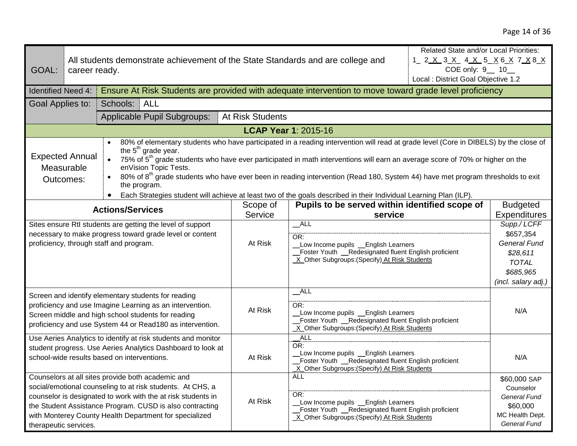| GOAL:                                                                                                                                                                                                                                                                                                                                                                                                                                                                                                                                                                                                                                                                                 | career ready. |                                                                                                                                                                                                                                                                                                       | Related State and/or Local Priorities:<br>All students demonstrate achievement of the State Standards and are college and<br>COE only: 9 __ 10_<br>Local : District Goal Objective 1.2 |                                                                                                                                                                   |                                                |                                                                                                                 |  |
|---------------------------------------------------------------------------------------------------------------------------------------------------------------------------------------------------------------------------------------------------------------------------------------------------------------------------------------------------------------------------------------------------------------------------------------------------------------------------------------------------------------------------------------------------------------------------------------------------------------------------------------------------------------------------------------|---------------|-------------------------------------------------------------------------------------------------------------------------------------------------------------------------------------------------------------------------------------------------------------------------------------------------------|----------------------------------------------------------------------------------------------------------------------------------------------------------------------------------------|-------------------------------------------------------------------------------------------------------------------------------------------------------------------|------------------------------------------------|-----------------------------------------------------------------------------------------------------------------|--|
| <b>Identified Need 4:</b>                                                                                                                                                                                                                                                                                                                                                                                                                                                                                                                                                                                                                                                             |               | Ensure At Risk Students are provided with adequate intervention to move toward grade level proficiency                                                                                                                                                                                                |                                                                                                                                                                                        |                                                                                                                                                                   |                                                |                                                                                                                 |  |
| Goal Applies to:                                                                                                                                                                                                                                                                                                                                                                                                                                                                                                                                                                                                                                                                      |               | Schools:<br>ALL                                                                                                                                                                                                                                                                                       |                                                                                                                                                                                        |                                                                                                                                                                   |                                                |                                                                                                                 |  |
|                                                                                                                                                                                                                                                                                                                                                                                                                                                                                                                                                                                                                                                                                       |               | Applicable Pupil Subgroups:                                                                                                                                                                                                                                                                           | At Risk Students                                                                                                                                                                       |                                                                                                                                                                   |                                                |                                                                                                                 |  |
|                                                                                                                                                                                                                                                                                                                                                                                                                                                                                                                                                                                                                                                                                       |               |                                                                                                                                                                                                                                                                                                       |                                                                                                                                                                                        | <b>LCAP Year 1: 2015-16</b>                                                                                                                                       |                                                |                                                                                                                 |  |
| 80% of elementary students who have participated in a reading intervention will read at grade level (Core in DIBELS) by the close of<br>the 5 <sup>th</sup> grade year.<br><b>Expected Annual</b><br>75% of 5 <sup>th</sup> grade students who have ever participated in math interventions will earn an average score of 70% or higher on the<br>Measurable<br>enVision Topic Tests.<br>80% of 8 <sup>th</sup> grade students who have ever been in reading intervention (Read 180, System 44) have met program thresholds to exit<br>Outcomes:<br>the program.<br>Each Strategies student will achieve at least two of the goals described in their Individual Learning Plan (ILP). |               |                                                                                                                                                                                                                                                                                                       |                                                                                                                                                                                        |                                                                                                                                                                   |                                                |                                                                                                                 |  |
| <b>Actions/Services</b>                                                                                                                                                                                                                                                                                                                                                                                                                                                                                                                                                                                                                                                               |               |                                                                                                                                                                                                                                                                                                       | Scope of                                                                                                                                                                               |                                                                                                                                                                   | Pupils to be served within identified scope of |                                                                                                                 |  |
|                                                                                                                                                                                                                                                                                                                                                                                                                                                                                                                                                                                                                                                                                       |               |                                                                                                                                                                                                                                                                                                       | Service                                                                                                                                                                                | service                                                                                                                                                           |                                                | <b>Expenditures</b>                                                                                             |  |
|                                                                                                                                                                                                                                                                                                                                                                                                                                                                                                                                                                                                                                                                                       |               | Sites ensure RtI students are getting the level of support<br>necessary to make progress toward grade level or content<br>proficiency, through staff and program.                                                                                                                                     | At Risk                                                                                                                                                                                | ALL<br>OR:<br>Low Income pupils _English Learners<br>Foster Youth _Redesignated fluent English proficient<br>X_Other Subgroups: (Specify) At Risk Students        |                                                | Supp./ LCFF<br>\$657,354<br><b>General Fund</b><br>\$28,611<br><b>TOTAL</b><br>\$685,965<br>(incl. salary adj.) |  |
| Screen and identify elementary students for reading<br>proficiency and use Imagine Learning as an intervention.<br>Screen middle and high school students for reading<br>proficiency and use System 44 or Read180 as intervention.                                                                                                                                                                                                                                                                                                                                                                                                                                                    |               | At Risk                                                                                                                                                                                                                                                                                               | $\_$ ALL<br>OR:<br>Low Income pupils _English Learners<br>Foster Youth _Redesignated fluent English proficient<br>X_Other Subgroups: (Specify) At Risk Students                        |                                                                                                                                                                   | N/A                                            |                                                                                                                 |  |
| Use Aeries Analytics to identify at risk students and monitor<br>student progress. Use Aeries Analytics Dashboard to look at<br>school-wide results based on interventions.                                                                                                                                                                                                                                                                                                                                                                                                                                                                                                           |               | At Risk                                                                                                                                                                                                                                                                                               | ALL<br>OR:<br>Low Income pupils _ English Learners<br>Foster Youth _Redesignated fluent English proficient<br>X_Other Subgroups: (Specify) At Risk Students                            |                                                                                                                                                                   | N/A                                            |                                                                                                                 |  |
| therapeutic services.                                                                                                                                                                                                                                                                                                                                                                                                                                                                                                                                                                                                                                                                 |               | Counselors at all sites provide both academic and<br>social/emotional counseling to at risk students. At CHS, a<br>counselor is designated to work with the at risk students in<br>the Student Assistance Program. CUSD is also contracting<br>with Monterey County Health Department for specialized | At Risk                                                                                                                                                                                | <b>ALL</b><br>OR:<br>Low Income pupils _English Learners<br>Foster Youth _Redesignated fluent English proficient<br>X Other Subgroups: (Specify) At Risk Students |                                                | \$60,000 SAP<br>Counselor<br>General Fund<br>\$60,000<br>MC Health Dept.<br><b>General Fund</b>                 |  |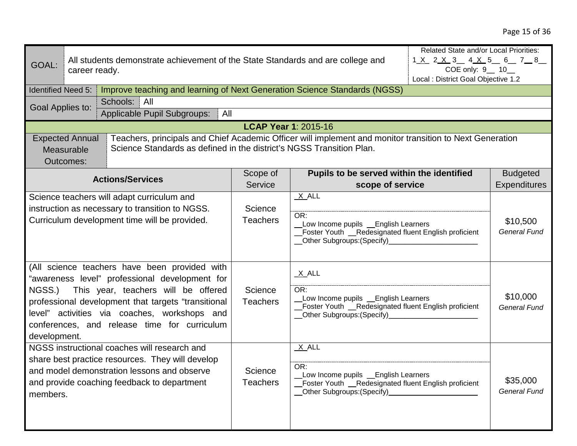| GOAL:<br><b>Identified Need 5:</b><br>Goal Applies to:                                                                                                                                                                                                                                                  | career ready.<br><b>Expected Annual</b><br>Measurable | All students demonstrate achievement of the State Standards and are college and<br>Improve teaching and learning of Next Generation Science Standards (NGSS)<br>Schools: All<br>Applicable Pupil Subgroups:<br>All<br>Teachers, principals and Chief Academic Officer will implement and monitor transition to Next Generation<br>Science Standards as defined in the district's NGSS Transition Plan. | <b>LCAP Year 1: 2015-16</b>                                                                                                                                          |                                                               | Related State and/or Local Priorities:<br>1 <u>X</u> 2 <u>X</u> 3 4 <u>X</u> 5 6 7 8<br>COE only: 9 __ 10_<br>Local : District Goal Objective 1.2 |                                        |
|---------------------------------------------------------------------------------------------------------------------------------------------------------------------------------------------------------------------------------------------------------------------------------------------------------|-------------------------------------------------------|--------------------------------------------------------------------------------------------------------------------------------------------------------------------------------------------------------------------------------------------------------------------------------------------------------------------------------------------------------------------------------------------------------|----------------------------------------------------------------------------------------------------------------------------------------------------------------------|---------------------------------------------------------------|---------------------------------------------------------------------------------------------------------------------------------------------------|----------------------------------------|
|                                                                                                                                                                                                                                                                                                         | Outcomes:                                             |                                                                                                                                                                                                                                                                                                                                                                                                        |                                                                                                                                                                      |                                                               |                                                                                                                                                   |                                        |
|                                                                                                                                                                                                                                                                                                         |                                                       | <b>Actions/Services</b>                                                                                                                                                                                                                                                                                                                                                                                | Scope of<br>Service                                                                                                                                                  | Pupils to be served within the identified<br>scope of service |                                                                                                                                                   | <b>Budgeted</b><br><b>Expenditures</b> |
| Science teachers will adapt curriculum and<br>instruction as necessary to transition to NGSS.<br>Curriculum development time will be provided.                                                                                                                                                          |                                                       | Science<br><b>Teachers</b>                                                                                                                                                                                                                                                                                                                                                                             | $X$ $ALL$<br>OR:<br>Low Income pupils _English Learners<br>Foster Youth __Redesignated fluent English proficient<br>Other Subgroups: (Specify)                       |                                                               | \$10,500<br><b>General Fund</b>                                                                                                                   |                                        |
| (All science teachers have been provided with<br>"awareness level" professional development for<br>This year, teachers will be offered<br>NGSS.)<br>professional development that targets "transitional<br>level" activities via coaches, workshops and<br>conferences, and release time for curriculum |                                                       | Science<br><b>Teachers</b>                                                                                                                                                                                                                                                                                                                                                                             | $X$ ALL<br>OR:<br>Low Income pupils _ English Learners<br>Foster Youth _Redesignated fluent English proficient<br>_Other Subgroups:(Specify)________________________ |                                                               | \$10,000<br><b>General Fund</b>                                                                                                                   |                                        |
| development.<br>NGSS instructional coaches will research and<br>share best practice resources. They will develop<br>and model demonstration lessons and observe<br>and provide coaching feedback to department<br>members.                                                                              |                                                       | Science<br><b>Teachers</b>                                                                                                                                                                                                                                                                                                                                                                             | $X$ ALL<br>OR:<br>Low Income pupils _ English Learners<br>Foster Youth __Redesignated fluent English proficient<br>_Other Subgroups:(Specify)                        |                                                               | \$35,000<br><b>General Fund</b>                                                                                                                   |                                        |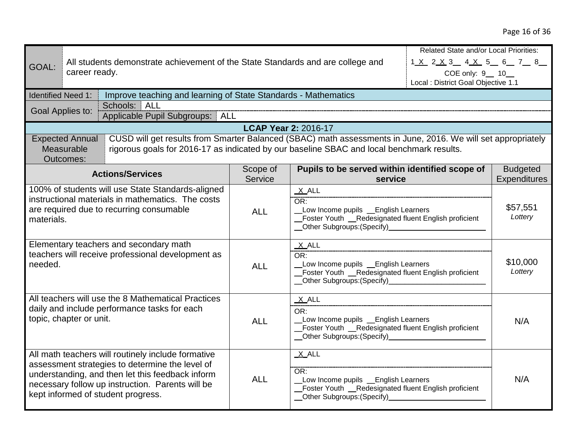# Page 16 of 36

|                           | <b>Related State and/or Local Priorities:</b>                                                                                                                                                                                                       |                             |                                                                                                                                                                        |                                                         |                                        |
|---------------------------|-----------------------------------------------------------------------------------------------------------------------------------------------------------------------------------------------------------------------------------------------------|-----------------------------|------------------------------------------------------------------------------------------------------------------------------------------------------------------------|---------------------------------------------------------|----------------------------------------|
| GOAL:                     | All students demonstrate achievement of the State Standards and are college and<br>career ready.                                                                                                                                                    |                             |                                                                                                                                                                        | 1 X 2 X 3 4 X 5 6 7 8                                   |                                        |
|                           |                                                                                                                                                                                                                                                     |                             |                                                                                                                                                                        | COE only: 9_ 10_<br>Local : District Goal Objective 1.1 |                                        |
| <b>Identified Need 1:</b> | Improve teaching and learning of State Standards - Mathematics                                                                                                                                                                                      |                             |                                                                                                                                                                        |                                                         |                                        |
|                           | <b>ALL</b><br>Schools:<br>Goal Applies to:                                                                                                                                                                                                          |                             |                                                                                                                                                                        |                                                         |                                        |
|                           | Applicable Pupil Subgroups:   ALL                                                                                                                                                                                                                   |                             |                                                                                                                                                                        |                                                         |                                        |
|                           | CUSD will get results from Smarter Balanced (SBAC) math assessments in June, 2016. We will set appropriately<br><b>Expected Annual</b>                                                                                                              | <b>LCAP Year 2: 2016-17</b> |                                                                                                                                                                        |                                                         |                                        |
|                           | Measurable<br>rigorous goals for 2016-17 as indicated by our baseline SBAC and local benchmark results.<br>Outcomes:                                                                                                                                |                             |                                                                                                                                                                        |                                                         |                                        |
|                           | <b>Actions/Services</b>                                                                                                                                                                                                                             | Scope of<br>Service         | Pupils to be served within identified scope of<br>service                                                                                                              |                                                         | <b>Budgeted</b><br><b>Expenditures</b> |
| materials.                | 100% of students will use State Standards-aligned<br>instructional materials in mathematics. The costs<br>are required due to recurring consumable                                                                                                  | <b>ALL</b>                  | $X$ ALL<br>OR:<br>Low Income pupils _ English Learners<br>Foster Youth _Redesignated fluent English proficient<br>__Other Subgroups:(Specify)____________________      |                                                         | \$57,551<br>Lottery                    |
| needed.                   | Elementary teachers and secondary math<br>teachers will receive professional development as                                                                                                                                                         | <b>ALL</b>                  | $X$ ALL<br>OR:<br>Low Income pupils _ English Learners<br>Foster Youth _Redesignated fluent English proficient                                                         |                                                         | \$10,000<br>Lottery                    |
|                           | All teachers will use the 8 Mathematical Practices<br>daily and include performance tasks for each<br>topic, chapter or unit.                                                                                                                       | <b>ALL</b>                  | $X$ ALL<br>OR:<br>Low Income pupils _ English Learners<br>Foster Youth _Redesignated fluent English proficient<br>Other Subgroups: (Specify)_________________________  |                                                         | N/A                                    |
|                           | All math teachers will routinely include formative<br>assessment strategies to determine the level of<br>understanding, and then let this feedback inform<br>necessary follow up instruction. Parents will be<br>kept informed of student progress. | <b>ALL</b>                  | $X$ ALL<br>OR:<br>Low Income pupils _ English Learners<br>Foster Youth _Redesignated fluent English proficient<br>__Other Subgroups:(Specify)_________________________ |                                                         | N/A                                    |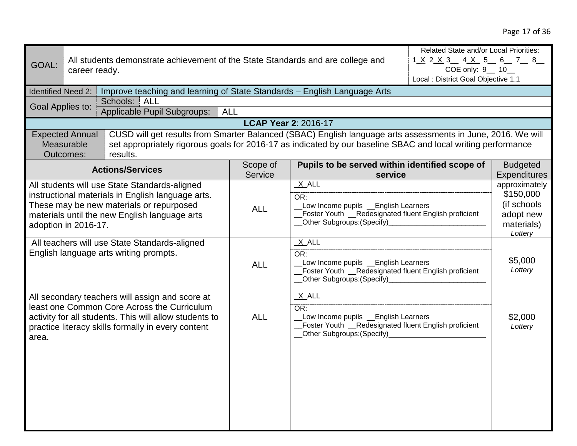| GOAL:                                                                                                                                                                                                                   | career ready.                                     | Related State and/or Local Priorities:<br>All students demonstrate achievement of the State Standards and are college and<br>$1 \times 2 \times 3$ 4 $\times$ 5 6 7 8<br>COE only: 9 __ 10_<br>Local : District Goal Objective 1.1      |                                                                                                                                              |                                                                                                                                                                    |                                                                                 |                     |  |
|-------------------------------------------------------------------------------------------------------------------------------------------------------------------------------------------------------------------------|---------------------------------------------------|-----------------------------------------------------------------------------------------------------------------------------------------------------------------------------------------------------------------------------------------|----------------------------------------------------------------------------------------------------------------------------------------------|--------------------------------------------------------------------------------------------------------------------------------------------------------------------|---------------------------------------------------------------------------------|---------------------|--|
| <b>Identified Need 2:</b>                                                                                                                                                                                               |                                                   | Improve teaching and learning of State Standards - English Language Arts                                                                                                                                                                |                                                                                                                                              |                                                                                                                                                                    |                                                                                 |                     |  |
| Goal Applies to:                                                                                                                                                                                                        |                                                   | Schools: ALL                                                                                                                                                                                                                            |                                                                                                                                              |                                                                                                                                                                    |                                                                                 |                     |  |
|                                                                                                                                                                                                                         |                                                   | Applicable Pupil Subgroups:   ALL                                                                                                                                                                                                       |                                                                                                                                              |                                                                                                                                                                    |                                                                                 |                     |  |
|                                                                                                                                                                                                                         |                                                   |                                                                                                                                                                                                                                         |                                                                                                                                              | <b>LCAP Year 2: 2016-17</b>                                                                                                                                        |                                                                                 |                     |  |
|                                                                                                                                                                                                                         | <b>Expected Annual</b><br>Measurable<br>Outcomes: | CUSD will get results from Smarter Balanced (SBAC) English language arts assessments in June, 2016. We will<br>set appropriately rigorous goals for 2016-17 as indicated by our baseline SBAC and local writing performance<br>results. |                                                                                                                                              |                                                                                                                                                                    |                                                                                 |                     |  |
|                                                                                                                                                                                                                         |                                                   | <b>Actions/Services</b>                                                                                                                                                                                                                 | Scope of                                                                                                                                     | Pupils to be served within identified scope of                                                                                                                     |                                                                                 | <b>Budgeted</b>     |  |
|                                                                                                                                                                                                                         |                                                   |                                                                                                                                                                                                                                         | Service                                                                                                                                      | service                                                                                                                                                            |                                                                                 | <b>Expenditures</b> |  |
| All students will use State Standards-aligned<br>instructional materials in English language arts.<br>These may be new materials or repurposed<br>materials until the new English language arts<br>adoption in 2016-17. |                                                   | <b>ALL</b>                                                                                                                                                                                                                              | X ALL<br>OR:<br>Low Income pupils _ English Learners<br>Foster Youth _Redesignated fluent English proficient<br>_Other Subgroups: (Specify)_ |                                                                                                                                                                    | approximately<br>\$150,000<br>(if schools<br>adopt new<br>materials)<br>Lottery |                     |  |
|                                                                                                                                                                                                                         |                                                   | All teachers will use State Standards-aligned<br>English language arts writing prompts.                                                                                                                                                 | <b>ALL</b>                                                                                                                                   | $X$ ALL<br>OR:<br>Low Income pupils _ English Learners<br>Foster Youth __Redesignated fluent English proficient<br>__Other Subgroups:(Specify)____________________ |                                                                                 | \$5,000<br>Lottery  |  |
| area.                                                                                                                                                                                                                   |                                                   | All secondary teachers will assign and score at<br>least one Common Core Across the Curriculum<br>activity for all students. This will allow students to<br>practice literacy skills formally in every content                          | <b>ALL</b>                                                                                                                                   | $X$ ALL<br>OR:<br>Low Income pupils _ English Learners<br>_Foster Youth _Redesignated fluent English proficient<br>__Other Subgroups:(Specify)__________________   |                                                                                 | \$2,000<br>Lottery  |  |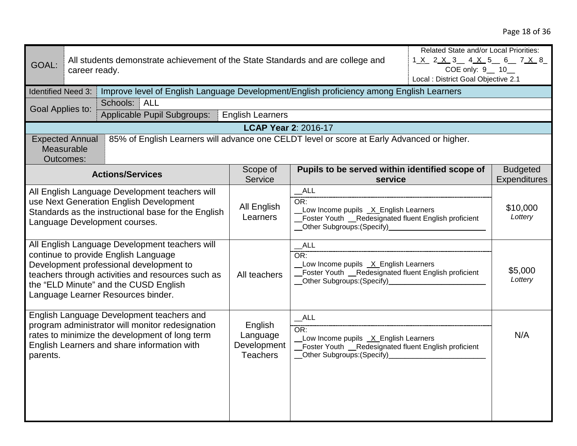| Related State and/or Local Priorities:<br>1 <u>X</u> 2 <u>X</u> 3 4 <u>X</u> 5 6 7 X 8<br>All students demonstrate achievement of the State Standards and are college and<br>GOAL:<br>COE only: 9_ 10_<br>career ready.<br>Local : District Goal Objective 2.1<br>Improve level of English Language Development/English proficiency among English Learners<br><b>Identified Need 3:</b><br>Schools: ALL<br>Goal Applies to:<br>Applicable Pupil Subgroups:<br><b>English Learners</b> |                                                   |                                                                                            |                                                                                                                                                               |                                                           |                     |                                 |
|---------------------------------------------------------------------------------------------------------------------------------------------------------------------------------------------------------------------------------------------------------------------------------------------------------------------------------------------------------------------------------------------------------------------------------------------------------------------------------------|---------------------------------------------------|--------------------------------------------------------------------------------------------|---------------------------------------------------------------------------------------------------------------------------------------------------------------|-----------------------------------------------------------|---------------------|---------------------------------|
|                                                                                                                                                                                                                                                                                                                                                                                                                                                                                       |                                                   |                                                                                            | <b>LCAP Year 2: 2016-17</b>                                                                                                                                   |                                                           |                     |                                 |
|                                                                                                                                                                                                                                                                                                                                                                                                                                                                                       | <b>Expected Annual</b><br>Measurable<br>Outcomes: | 85% of English Learners will advance one CELDT level or score at Early Advanced or higher. |                                                                                                                                                               |                                                           |                     |                                 |
|                                                                                                                                                                                                                                                                                                                                                                                                                                                                                       |                                                   | <b>Actions/Services</b>                                                                    | Scope of<br>Service                                                                                                                                           | Pupils to be served within identified scope of<br>service |                     | <b>Budgeted</b><br>Expenditures |
| All English Language Development teachers will<br>use Next Generation English Development<br>Standards as the instructional base for the English<br>Language Development courses.                                                                                                                                                                                                                                                                                                     |                                                   | All English<br>Learners                                                                    | ALL<br>OR:<br>Low Income pupils X English Learners<br>Foster Youth __Redesignated fluent English proficient<br>__Other Subgroups:(Specify)___________________ |                                                           | \$10,000<br>Lottery |                                 |
| All English Language Development teachers will<br>continue to provide English Language<br>Development professional development to<br>teachers through activities and resources such as<br>the "ELD Minute" and the CUSD English<br>Language Learner Resources binder.                                                                                                                                                                                                                 |                                                   | All teachers                                                                               | ALL<br>OR:<br>Low Income pupils _X_English Learners<br>Foster Youth _Redesignated fluent English proficient<br>_Other Subgroups: (Specify)_                   |                                                           | \$5,000<br>Lottery  |                                 |
| English Language Development teachers and<br>program administrator will monitor redesignation<br>rates to minimize the development of long term<br>English Learners and share information with<br>parents.                                                                                                                                                                                                                                                                            |                                                   | English<br>Language<br>Development<br><b>Teachers</b>                                      | ALL<br>OR:<br>Low Income pupils _X_English Learners<br>Foster Youth __Redesignated fluent English proficient<br>Other Subgroups: (Specify)                    |                                                           | N/A                 |                                 |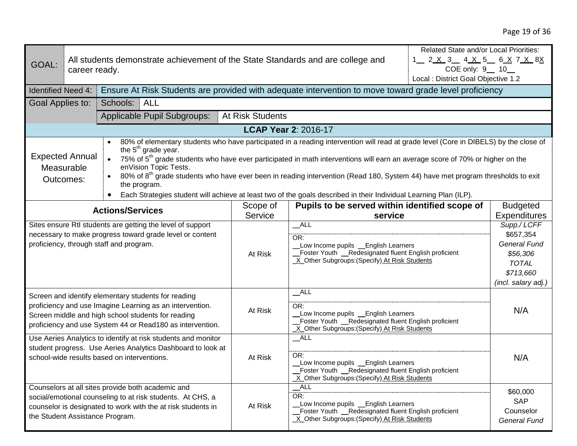| GOAL:                                                                                                                                                                                                                                                                                                                                                                                                                                                                                                                                                                                                                                                                                              | career ready. | Related State and/or Local Priorities:<br>All students demonstrate achievement of the State Standards and are college and<br>1 2 <u>X 3 4 X 5 6 X 7 X 8X</u><br>COE only: 9 __ 10_<br>Local : District Goal Objective 1.2          |                                                                                                                                                                  |                                                                                                                                                                |     |                                                                                                                 |  |
|----------------------------------------------------------------------------------------------------------------------------------------------------------------------------------------------------------------------------------------------------------------------------------------------------------------------------------------------------------------------------------------------------------------------------------------------------------------------------------------------------------------------------------------------------------------------------------------------------------------------------------------------------------------------------------------------------|---------------|------------------------------------------------------------------------------------------------------------------------------------------------------------------------------------------------------------------------------------|------------------------------------------------------------------------------------------------------------------------------------------------------------------|----------------------------------------------------------------------------------------------------------------------------------------------------------------|-----|-----------------------------------------------------------------------------------------------------------------|--|
| <b>Identified Need 4:</b>                                                                                                                                                                                                                                                                                                                                                                                                                                                                                                                                                                                                                                                                          |               | Ensure At Risk Students are provided with adequate intervention to move toward grade level proficiency                                                                                                                             |                                                                                                                                                                  |                                                                                                                                                                |     |                                                                                                                 |  |
| Goal Applies to:                                                                                                                                                                                                                                                                                                                                                                                                                                                                                                                                                                                                                                                                                   |               | Schools:<br><b>ALL</b>                                                                                                                                                                                                             |                                                                                                                                                                  |                                                                                                                                                                |     |                                                                                                                 |  |
|                                                                                                                                                                                                                                                                                                                                                                                                                                                                                                                                                                                                                                                                                                    |               | Applicable Pupil Subgroups:                                                                                                                                                                                                        | At Risk Students                                                                                                                                                 |                                                                                                                                                                |     |                                                                                                                 |  |
|                                                                                                                                                                                                                                                                                                                                                                                                                                                                                                                                                                                                                                                                                                    |               |                                                                                                                                                                                                                                    |                                                                                                                                                                  | <b>LCAP Year 2: 2016-17</b>                                                                                                                                    |     |                                                                                                                 |  |
| 80% of elementary students who have participated in a reading intervention will read at grade level (Core in DIBELS) by the close of<br>$\bullet$<br>the 5 <sup>th</sup> grade year.<br><b>Expected Annual</b><br>75% of 5 <sup>th</sup> grade students who have ever participated in math interventions will earn an average score of 70% or higher on the<br>enVision Topic Tests.<br>Measurable<br>80% of 8 <sup>th</sup> grade students who have ever been in reading intervention (Read 180, System 44) have met program thresholds to exit<br>Outcomes:<br>the program.<br>Each Strategies student will achieve at least two of the goals described in their Individual Learning Plan (ILP). |               |                                                                                                                                                                                                                                    |                                                                                                                                                                  |                                                                                                                                                                |     |                                                                                                                 |  |
|                                                                                                                                                                                                                                                                                                                                                                                                                                                                                                                                                                                                                                                                                                    |               | <b>Actions/Services</b>                                                                                                                                                                                                            | Scope of                                                                                                                                                         | Pupils to be served within identified scope of                                                                                                                 |     | <b>Budgeted</b>                                                                                                 |  |
|                                                                                                                                                                                                                                                                                                                                                                                                                                                                                                                                                                                                                                                                                                    |               |                                                                                                                                                                                                                                    | Service                                                                                                                                                          | service                                                                                                                                                        |     | <b>Expenditures</b>                                                                                             |  |
|                                                                                                                                                                                                                                                                                                                                                                                                                                                                                                                                                                                                                                                                                                    |               | Sites ensure RtI students are getting the level of support<br>necessary to make progress toward grade level or content<br>proficiency, through staff and program.                                                                  | At Risk                                                                                                                                                          | ALL<br>OR:<br>Low Income pupils _ English Learners<br>Foster Youth _Redesignated fluent English proficient<br>X_Other Subgroups: (Specify) At Risk Students    |     | Supp./ LCFF<br>\$657,354<br><b>General Fund</b><br>\$56,306<br><b>TOTAL</b><br>\$713,660<br>(incl. salary adj.) |  |
|                                                                                                                                                                                                                                                                                                                                                                                                                                                                                                                                                                                                                                                                                                    |               | Screen and identify elementary students for reading<br>proficiency and use Imagine Learning as an intervention.<br>Screen middle and high school students for reading<br>proficiency and use System 44 or Read180 as intervention. | At Risk                                                                                                                                                          | $\_$ ALL<br>OR:<br>Low Income pupils _English Learners<br>Foster Youth _Redesignated fluent English proficient<br>X_Other Subgroups:(Specify) At Risk Students |     | N/A                                                                                                             |  |
| Use Aeries Analytics to identify at risk students and monitor<br>student progress. Use Aeries Analytics Dashboard to look at<br>school-wide results based on interventions.                                                                                                                                                                                                                                                                                                                                                                                                                                                                                                                        |               | At Risk                                                                                                                                                                                                                            | $\_$ ALL<br>OR:<br>Low Income pupils _ English Learners<br>Foster Youth _Redesignated fluent English proficient<br>X Other Subgroups: (Specify) At Risk Students |                                                                                                                                                                | N/A |                                                                                                                 |  |
|                                                                                                                                                                                                                                                                                                                                                                                                                                                                                                                                                                                                                                                                                                    |               | Counselors at all sites provide both academic and<br>social/emotional counseling to at risk students. At CHS, a<br>counselor is designated to work with the at risk students in<br>the Student Assistance Program.                 | At Risk                                                                                                                                                          | ALL<br>OR:<br>Low Income pupils _ English Learners<br>Foster Youth _Redesignated fluent English proficient<br>X Other Subgroups: (Specify) At Risk Students    |     | \$60,000<br><b>SAP</b><br>Counselor<br><b>General Fund</b>                                                      |  |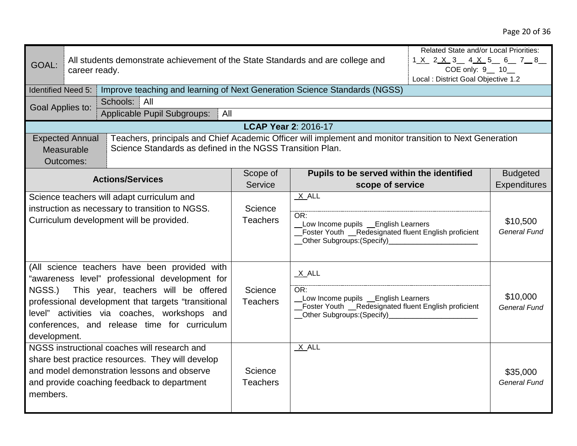| GOAL:                                                                                                                                                                                                                                                                                                   |                                                   | Related State and/or Local Priorities:<br>All students demonstrate achievement of the State Standards and are college and<br>1 X 2 X 3 4 X 5 6 78<br>COE only: 9_ 10_<br>career ready.<br>Local : District Goal Objective 1.2 |                                                                                                                                                                                                                                                                                                                                                          |                                           |                                 |                 |
|---------------------------------------------------------------------------------------------------------------------------------------------------------------------------------------------------------------------------------------------------------------------------------------------------------|---------------------------------------------------|-------------------------------------------------------------------------------------------------------------------------------------------------------------------------------------------------------------------------------|----------------------------------------------------------------------------------------------------------------------------------------------------------------------------------------------------------------------------------------------------------------------------------------------------------------------------------------------------------|-------------------------------------------|---------------------------------|-----------------|
| <b>Identified Need 5:</b>                                                                                                                                                                                                                                                                               |                                                   | Improve teaching and learning of Next Generation Science Standards (NGSS)                                                                                                                                                     |                                                                                                                                                                                                                                                                                                                                                          |                                           |                                 |                 |
| Goal Applies to:                                                                                                                                                                                                                                                                                        |                                                   | Schools: All                                                                                                                                                                                                                  |                                                                                                                                                                                                                                                                                                                                                          |                                           |                                 |                 |
| <b>Applicable Pupil Subgroups:</b><br>All                                                                                                                                                                                                                                                               |                                                   |                                                                                                                                                                                                                               |                                                                                                                                                                                                                                                                                                                                                          |                                           |                                 |                 |
|                                                                                                                                                                                                                                                                                                         |                                                   |                                                                                                                                                                                                                               | <b>LCAP Year 2: 2016-17</b>                                                                                                                                                                                                                                                                                                                              |                                           |                                 |                 |
|                                                                                                                                                                                                                                                                                                         | <b>Expected Annual</b><br>Measurable<br>Outcomes: | Teachers, principals and Chief Academic Officer will implement and monitor transition to Next Generation<br>Science Standards as defined in the NGSS Transition Plan.                                                         |                                                                                                                                                                                                                                                                                                                                                          |                                           |                                 |                 |
|                                                                                                                                                                                                                                                                                                         |                                                   | <b>Actions/Services</b>                                                                                                                                                                                                       | Scope of                                                                                                                                                                                                                                                                                                                                                 | Pupils to be served within the identified |                                 | <b>Budgeted</b> |
|                                                                                                                                                                                                                                                                                                         |                                                   |                                                                                                                                                                                                                               | Service                                                                                                                                                                                                                                                                                                                                                  | scope of service                          |                                 | Expenditures    |
| Science teachers will adapt curriculum and<br>instruction as necessary to transition to NGSS.<br>Curriculum development will be provided.                                                                                                                                                               |                                                   | Science<br><b>Teachers</b>                                                                                                                                                                                                    | $X$ ALL<br>OR:<br>Low Income pupils _ English Learners<br>Foster Youth __Redesignated fluent English proficient<br>Other Subgroups: (Specify)<br><u>Community</u> Contract Contract Contract Contract Contract Contract Contract Contract Contract Contract Contract Contract Contract Contract Contract Contract Contract Contract Contract Contract Co |                                           | \$10,500<br><b>General Fund</b> |                 |
| (All science teachers have been provided with<br>"awareness level" professional development for<br>This year, teachers will be offered<br>NGSS.)<br>professional development that targets "transitional<br>level" activities via coaches, workshops and<br>conferences, and release time for curriculum |                                                   | Science<br><b>Teachers</b>                                                                                                                                                                                                    | $X$ ALL<br>OR:<br>Low Income pupils _ English Learners<br>Foster Youth _Redesignated fluent English proficient<br>_Other Subgroups: (Specify)_                                                                                                                                                                                                           |                                           | \$10,000<br><b>General Fund</b> |                 |
| development.<br>NGSS instructional coaches will research and<br>share best practice resources. They will develop<br>and model demonstration lessons and observe<br>and provide coaching feedback to department<br>members.                                                                              |                                                   | Science<br><b>Teachers</b>                                                                                                                                                                                                    | $X$ ALL                                                                                                                                                                                                                                                                                                                                                  |                                           | \$35,000<br><b>General Fund</b> |                 |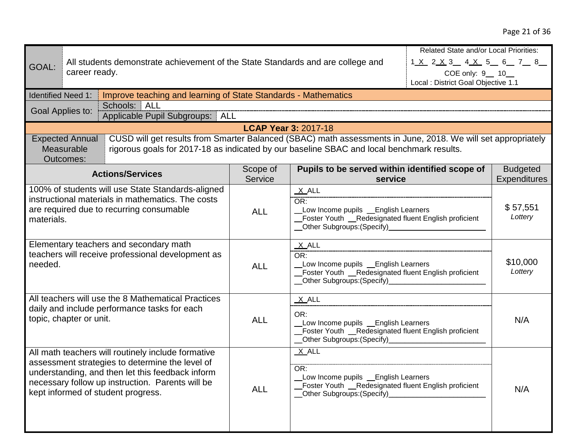## Page 21 of 36

|                                                        |                                      |                                                                                                                                                                                                           |                                                                                              |                                                                                                      | Related State and/or Local Priorities:     |                     |
|--------------------------------------------------------|--------------------------------------|-----------------------------------------------------------------------------------------------------------------------------------------------------------------------------------------------------------|----------------------------------------------------------------------------------------------|------------------------------------------------------------------------------------------------------|--------------------------------------------|---------------------|
| GOAL:                                                  |                                      | All students demonstrate achievement of the State Standards and are college and                                                                                                                           |                                                                                              |                                                                                                      | 1 <u>X</u> 2 <u>X</u> 3 4 <u>X</u> 5 6 7 8 |                     |
|                                                        | career ready.                        |                                                                                                                                                                                                           |                                                                                              |                                                                                                      | COE only: 9 __ 10                          |                     |
|                                                        |                                      |                                                                                                                                                                                                           |                                                                                              |                                                                                                      | Local: District Goal Objective 1.1         |                     |
| <b>Identified Need 1:</b>                              |                                      | Improve teaching and learning of State Standards - Mathematics                                                                                                                                            |                                                                                              |                                                                                                      |                                            |                     |
|                                                        | Goal Applies to:                     | Schools: ALL                                                                                                                                                                                              |                                                                                              |                                                                                                      |                                            |                     |
|                                                        |                                      | Applicable Pupil Subgroups: ALL                                                                                                                                                                           |                                                                                              |                                                                                                      |                                            |                     |
|                                                        |                                      |                                                                                                                                                                                                           |                                                                                              | <b>LCAP Year 3: 2017-18</b>                                                                          |                                            |                     |
|                                                        | <b>Expected Annual</b><br>Measurable | CUSD will get results from Smarter Balanced (SBAC) math assessments in June, 2018. We will set appropriately<br>rigorous goals for 2017-18 as indicated by our baseline SBAC and local benchmark results. |                                                                                              |                                                                                                      |                                            |                     |
|                                                        | Outcomes:                            |                                                                                                                                                                                                           |                                                                                              |                                                                                                      |                                            |                     |
|                                                        |                                      |                                                                                                                                                                                                           | Scope of                                                                                     | Pupils to be served within identified scope of                                                       |                                            | <b>Budgeted</b>     |
|                                                        |                                      | <b>Actions/Services</b>                                                                                                                                                                                   | Service                                                                                      | service                                                                                              |                                            | <b>Expenditures</b> |
|                                                        |                                      | 100% of students will use State Standards-aligned                                                                                                                                                         |                                                                                              | X ALL                                                                                                |                                            |                     |
|                                                        |                                      | instructional materials in mathematics. The costs                                                                                                                                                         |                                                                                              | OR:                                                                                                  |                                            | \$57,551            |
| are required due to recurring consumable<br>materials. |                                      | <b>ALL</b>                                                                                                                                                                                                | Low Income pupils _ English Learners<br>Foster Youth _Redesignated fluent English proficient |                                                                                                      | Lottery                                    |                     |
|                                                        |                                      |                                                                                                                                                                                                           | _Other Subgroups:(Specify)__________________________                                         |                                                                                                      |                                            |                     |
|                                                        |                                      |                                                                                                                                                                                                           |                                                                                              |                                                                                                      |                                            |                     |
|                                                        |                                      | Elementary teachers and secondary math<br>teachers will receive professional development as                                                                                                               |                                                                                              | X ALL<br>OR:                                                                                         |                                            |                     |
| needed.                                                |                                      |                                                                                                                                                                                                           | <b>ALL</b>                                                                                   | Low Income pupils _English Learners                                                                  |                                            | \$10,000<br>Lottery |
|                                                        |                                      |                                                                                                                                                                                                           |                                                                                              | Foster Youth _Redesignated fluent English proficient                                                 |                                            |                     |
|                                                        |                                      |                                                                                                                                                                                                           |                                                                                              | __Other Subgroups:(Specify)__________________________                                                |                                            |                     |
|                                                        |                                      | All teachers will use the 8 Mathematical Practices                                                                                                                                                        |                                                                                              | X ALL                                                                                                |                                            |                     |
|                                                        |                                      | daily and include performance tasks for each                                                                                                                                                              |                                                                                              |                                                                                                      |                                            |                     |
|                                                        | topic, chapter or unit.              |                                                                                                                                                                                                           | <b>ALL</b>                                                                                   | OR:<br>Low Income pupils _ English Learners<br>Foster Youth __Redesignated fluent English proficient |                                            | N/A                 |
|                                                        |                                      |                                                                                                                                                                                                           |                                                                                              |                                                                                                      |                                            |                     |
|                                                        |                                      |                                                                                                                                                                                                           |                                                                                              | Other Subgroups: (Specify)                                                                           |                                            |                     |
|                                                        |                                      | All math teachers will routinely include formative                                                                                                                                                        |                                                                                              | X ALL                                                                                                |                                            |                     |
|                                                        |                                      | assessment strategies to determine the level of<br>understanding, and then let this feedback inform                                                                                                       |                                                                                              | OR:                                                                                                  |                                            |                     |
|                                                        |                                      | necessary follow up instruction. Parents will be                                                                                                                                                          |                                                                                              | Low Income pupils _ English Learners                                                                 |                                            |                     |
|                                                        |                                      | kept informed of student progress.                                                                                                                                                                        | <b>ALL</b>                                                                                   | Foster Youth _Redesignated fluent English proficient<br>Other Subgroups: (Specify)                   |                                            | N/A                 |
|                                                        |                                      |                                                                                                                                                                                                           |                                                                                              |                                                                                                      |                                            |                     |
|                                                        |                                      |                                                                                                                                                                                                           |                                                                                              |                                                                                                      |                                            |                     |
|                                                        |                                      |                                                                                                                                                                                                           |                                                                                              |                                                                                                      |                                            |                     |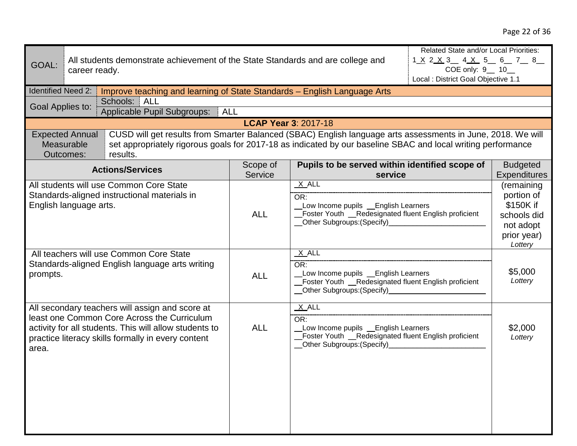| GOAL:                                                                                                  |                                                   | Related State and/or Local Priorities:<br>All students demonstrate achievement of the State Standards and are college and<br>1 <u>X 2 X 3 4 X 5 6 7 8</u><br>COE only: 9 __ 10_<br>career ready.<br>Local : District Goal Objective 1.1 |                |                                                                                                                                                                |  |                                                                                             |
|--------------------------------------------------------------------------------------------------------|---------------------------------------------------|-----------------------------------------------------------------------------------------------------------------------------------------------------------------------------------------------------------------------------------------|----------------|----------------------------------------------------------------------------------------------------------------------------------------------------------------|--|---------------------------------------------------------------------------------------------|
| <b>Identified Need 2:</b>                                                                              |                                                   | Improve teaching and learning of State Standards - English Language Arts                                                                                                                                                                |                |                                                                                                                                                                |  |                                                                                             |
| Goal Applies to:                                                                                       |                                                   | Schools: ALL                                                                                                                                                                                                                            |                |                                                                                                                                                                |  |                                                                                             |
|                                                                                                        |                                                   | Applicable Pupil Subgroups:   ALL                                                                                                                                                                                                       |                |                                                                                                                                                                |  |                                                                                             |
|                                                                                                        |                                                   |                                                                                                                                                                                                                                         |                | <b>LCAP Year 3: 2017-18</b>                                                                                                                                    |  |                                                                                             |
|                                                                                                        | <b>Expected Annual</b><br>Measurable<br>Outcomes: | CUSD will get results from Smarter Balanced (SBAC) English language arts assessments in June, 2018. We will<br>set appropriately rigorous goals for 2017-18 as indicated by our baseline SBAC and local writing performance<br>results. |                |                                                                                                                                                                |  |                                                                                             |
|                                                                                                        |                                                   | <b>Actions/Services</b>                                                                                                                                                                                                                 | Scope of       | Pupils to be served within identified scope of                                                                                                                 |  | <b>Budgeted</b>                                                                             |
|                                                                                                        |                                                   |                                                                                                                                                                                                                                         | <b>Service</b> | service                                                                                                                                                        |  | <b>Expenditures</b>                                                                         |
|                                                                                                        | English language arts.                            | All students will use Common Core State<br>Standards-aligned instructional materials in                                                                                                                                                 | <b>ALL</b>     | $X$ ALL<br>OR:<br>Low Income pupils _ English Learners<br>Foster Youth _Redesignated fluent English proficient<br>__Other Subgroups:(Specify)___________       |  | (remaining<br>portion of<br>\$150K if<br>schools did<br>not adopt<br>prior year)<br>Lottery |
| All teachers will use Common Core State<br>Standards-aligned English language arts writing<br>prompts. |                                                   |                                                                                                                                                                                                                                         | <b>ALL</b>     | $X$ ALL<br>OR:<br>Low Income pupils _ English Learners<br>Foster Youth _Redesignated fluent English proficient<br>__Other Subgroups:(Specify)_________________ |  | \$5,000<br>Lottery                                                                          |
| area.                                                                                                  |                                                   | All secondary teachers will assign and score at<br>least one Common Core Across the Curriculum<br>activity for all students. This will allow students to<br>practice literacy skills formally in every content                          | <b>ALL</b>     | $X$ ALL<br>OR:<br>Low Income pupils _ English Learners<br>Foster Youth __Redesignated fluent English proficient<br>__Other Subgroups: (Specify)___________     |  | \$2,000<br>Lottery                                                                          |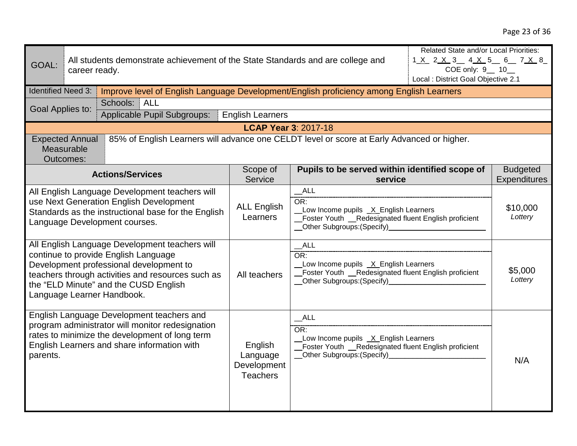| GOAL:                                                                                                                                                                                                                                                         | Related State and/or Local Priorities:<br>All students demonstrate achievement of the State Standards and are college and<br>1 <u>X</u> 2 <u>X</u> 3 4 <u>X</u> 5 6 7 <u>X</u> 8<br>COE only: 9 __ 10 __<br>career ready.<br>Local : District Goal Objective 2.1 |                                                                                                                                                                                                |                                                                                                                                                                    |                                                                                                                                                               |                    |                                        |
|---------------------------------------------------------------------------------------------------------------------------------------------------------------------------------------------------------------------------------------------------------------|------------------------------------------------------------------------------------------------------------------------------------------------------------------------------------------------------------------------------------------------------------------|------------------------------------------------------------------------------------------------------------------------------------------------------------------------------------------------|--------------------------------------------------------------------------------------------------------------------------------------------------------------------|---------------------------------------------------------------------------------------------------------------------------------------------------------------|--------------------|----------------------------------------|
| <b>Identified Need 3:</b>                                                                                                                                                                                                                                     |                                                                                                                                                                                                                                                                  | Improve level of English Language Development/English proficiency among English Learners                                                                                                       |                                                                                                                                                                    |                                                                                                                                                               |                    |                                        |
| Goal Applies to:                                                                                                                                                                                                                                              |                                                                                                                                                                                                                                                                  | <b>ALL</b><br>Schools:<br>Applicable Pupil Subgroups:                                                                                                                                          | <b>English Learners</b>                                                                                                                                            |                                                                                                                                                               |                    |                                        |
|                                                                                                                                                                                                                                                               |                                                                                                                                                                                                                                                                  |                                                                                                                                                                                                | <b>LCAP Year 3: 2017-18</b>                                                                                                                                        |                                                                                                                                                               |                    |                                        |
|                                                                                                                                                                                                                                                               | <b>Expected Annual</b><br>Measurable<br><b>Outcomes:</b>                                                                                                                                                                                                         | 85% of English Learners will advance one CELDT level or score at Early Advanced or higher.                                                                                                     |                                                                                                                                                                    |                                                                                                                                                               |                    |                                        |
|                                                                                                                                                                                                                                                               |                                                                                                                                                                                                                                                                  | <b>Actions/Services</b>                                                                                                                                                                        | Scope of<br>Service                                                                                                                                                | Pupils to be served within identified scope of<br>service                                                                                                     |                    | <b>Budgeted</b><br><b>Expenditures</b> |
|                                                                                                                                                                                                                                                               |                                                                                                                                                                                                                                                                  | All English Language Development teachers will<br>use Next Generation English Development<br>Standards as the instructional base for the English<br>Language Development courses.              | <b>ALL English</b><br>Learners                                                                                                                                     | ALL<br>OR:<br>Low Income pupils X English Learners<br>_Foster Youth _Redesignated fluent English proficient<br>__Other Subgroups:(Specify)___________________ |                    | \$10,000<br>Lottery                    |
| All English Language Development teachers will<br>continue to provide English Language<br>Development professional development to<br>teachers through activities and resources such as<br>the "ELD Minute" and the CUSD English<br>Language Learner Handbook. |                                                                                                                                                                                                                                                                  | All teachers                                                                                                                                                                                   | ALL<br>OR:<br>Low Income pupils _X_English Learners<br>Foster Youth __Redesignated fluent English proficient<br>__Other Subgroups:(Specify)_______________________ |                                                                                                                                                               | \$5,000<br>Lottery |                                        |
| parents.                                                                                                                                                                                                                                                      |                                                                                                                                                                                                                                                                  | English Language Development teachers and<br>program administrator will monitor redesignation<br>rates to minimize the development of long term<br>English Learners and share information with | English<br>Language<br>Development<br><b>Teachers</b>                                                                                                              | ALL<br>OR:<br>Low Income pupils _X_English Learners<br>Foster Youth __Redesignated fluent English proficient<br>__Other Subgroups: (Specify)                  |                    | N/A                                    |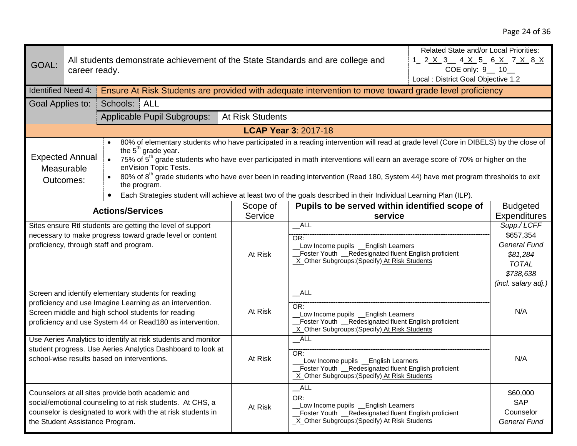| GOAL:                                                                                                                                                                                                                                                                                                                                                                                                                                                                                                                                                                                                                                                                                    |  | Related State and/or Local Priorities:<br>All students demonstrate achievement of the State Standards and are college and<br>1 2 <u>X 3 4 X 5 6 X 7 X 8 X</u><br>COE only: 9 __ 10_<br>career ready.<br>Local : District Goal Objective 1.2 |                                                                                                                                                                  |                                                |                                                                                                                 |                     |
|------------------------------------------------------------------------------------------------------------------------------------------------------------------------------------------------------------------------------------------------------------------------------------------------------------------------------------------------------------------------------------------------------------------------------------------------------------------------------------------------------------------------------------------------------------------------------------------------------------------------------------------------------------------------------------------|--|---------------------------------------------------------------------------------------------------------------------------------------------------------------------------------------------------------------------------------------------|------------------------------------------------------------------------------------------------------------------------------------------------------------------|------------------------------------------------|-----------------------------------------------------------------------------------------------------------------|---------------------|
| <b>Identified Need 4:</b>                                                                                                                                                                                                                                                                                                                                                                                                                                                                                                                                                                                                                                                                |  | Ensure At Risk Students are provided with adequate intervention to move toward grade level proficiency                                                                                                                                      |                                                                                                                                                                  |                                                |                                                                                                                 |                     |
| Goal Applies to:                                                                                                                                                                                                                                                                                                                                                                                                                                                                                                                                                                                                                                                                         |  | Schools:<br>ALL                                                                                                                                                                                                                             |                                                                                                                                                                  |                                                |                                                                                                                 |                     |
|                                                                                                                                                                                                                                                                                                                                                                                                                                                                                                                                                                                                                                                                                          |  | Applicable Pupil Subgroups:                                                                                                                                                                                                                 | <b>At Risk Students</b>                                                                                                                                          |                                                |                                                                                                                 |                     |
|                                                                                                                                                                                                                                                                                                                                                                                                                                                                                                                                                                                                                                                                                          |  |                                                                                                                                                                                                                                             | <b>LCAP Year 3: 2017-18</b>                                                                                                                                      |                                                |                                                                                                                 |                     |
| 80% of elementary students who have participated in a reading intervention will read at grade level (Core in DIBELS) by the close of<br>the $5th$ grade year.<br><b>Expected Annual</b><br>75% of 5 <sup>th</sup> grade students who have ever participated in math interventions will earn an average score of 70% or higher on the<br>$\bullet$<br>enVision Topic Tests.<br>Measurable<br>80% of 8 <sup>th</sup> grade students who have ever been in reading intervention (Read 180, System 44) have met program thresholds to exit<br>Outcomes:<br>the program.<br>Each Strategies student will achieve at least two of the goals described in their Individual Learning Plan (ILP). |  |                                                                                                                                                                                                                                             |                                                                                                                                                                  |                                                |                                                                                                                 |                     |
|                                                                                                                                                                                                                                                                                                                                                                                                                                                                                                                                                                                                                                                                                          |  | <b>Actions/Services</b>                                                                                                                                                                                                                     | Scope of                                                                                                                                                         | Pupils to be served within identified scope of |                                                                                                                 | <b>Budgeted</b>     |
|                                                                                                                                                                                                                                                                                                                                                                                                                                                                                                                                                                                                                                                                                          |  |                                                                                                                                                                                                                                             | Service                                                                                                                                                          | service                                        |                                                                                                                 | <b>Expenditures</b> |
| Sites ensure RtI students are getting the level of support<br>necessary to make progress toward grade level or content<br>proficiency, through staff and program.                                                                                                                                                                                                                                                                                                                                                                                                                                                                                                                        |  | At Risk                                                                                                                                                                                                                                     | $\_ALL$<br>OR:<br>Low Income pupils _English Learners<br>Foster Youth _Redesignated fluent English proficient<br>X_Other Subgroups: (Specify) At Risk Students   |                                                | Supp./ LCFF<br>\$657,354<br><b>General Fund</b><br>\$81,284<br><b>TOTAL</b><br>\$738,638<br>(incl. salary adj.) |                     |
| Screen and identify elementary students for reading<br>proficiency and use Imagine Learning as an intervention.<br>Screen middle and high school students for reading<br>proficiency and use System 44 or Read180 as intervention.                                                                                                                                                                                                                                                                                                                                                                                                                                                       |  | At Risk                                                                                                                                                                                                                                     | ALL<br>OR:<br>Low Income pupils _ English Learners<br>Foster Youth _Redesignated fluent English proficient<br>X_Other Subgroups: (Specify) At Risk Students      |                                                | N/A                                                                                                             |                     |
| Use Aeries Analytics to identify at risk students and monitor<br>student progress. Use Aeries Analytics Dashboard to look at<br>school-wise results based on interventions.                                                                                                                                                                                                                                                                                                                                                                                                                                                                                                              |  | At Risk                                                                                                                                                                                                                                     | $\_$ ALL<br>OR:<br>Low Income pupils _English Learners<br>Foster Youth _Redesignated fluent English proficient<br>_X_Other Subgroups: (Specify) At Risk Students |                                                | N/A                                                                                                             |                     |
| Counselors at all sites provide both academic and<br>social/emotional counseling to at risk students. At CHS, a<br>counselor is designated to work with the at risk students in<br>the Student Assistance Program.                                                                                                                                                                                                                                                                                                                                                                                                                                                                       |  | At Risk                                                                                                                                                                                                                                     | ALL<br>OR:<br>Low Income pupils _ English Learners<br>Foster Youth Redesignated fluent English proficient<br>X Other Subgroups: (Specify) At Risk Students       |                                                | \$60,000<br><b>SAP</b><br>Counselor<br><b>General Fund</b>                                                      |                     |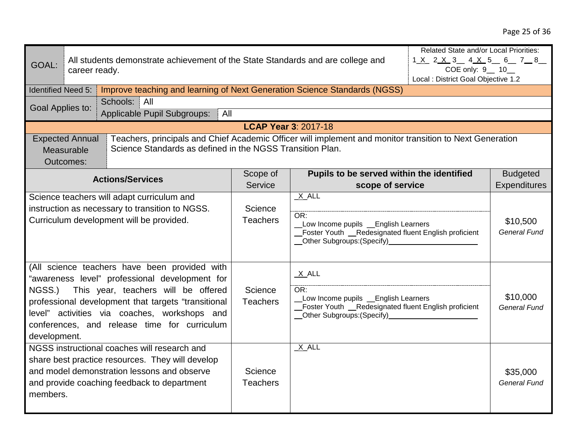| GOAL:                                                                                                                                                                                                                                                                                                                | career ready.                                     | Related State and/or Local Priorities:<br>All students demonstrate achievement of the State Standards and are college and<br>1 <u>X</u> 2 <u>X</u> 3 4 X 5 6 7 8<br>COE only: 9 __ 10 __<br>Local : District Goal Objective 1.2 |                                                                                                                                                                                                                                                                                                                                                           |                                           |                                 |                                 |
|----------------------------------------------------------------------------------------------------------------------------------------------------------------------------------------------------------------------------------------------------------------------------------------------------------------------|---------------------------------------------------|---------------------------------------------------------------------------------------------------------------------------------------------------------------------------------------------------------------------------------|-----------------------------------------------------------------------------------------------------------------------------------------------------------------------------------------------------------------------------------------------------------------------------------------------------------------------------------------------------------|-------------------------------------------|---------------------------------|---------------------------------|
| <b>Identified Need 5:</b>                                                                                                                                                                                                                                                                                            |                                                   | Improve teaching and learning of Next Generation Science Standards (NGSS)                                                                                                                                                       |                                                                                                                                                                                                                                                                                                                                                           |                                           |                                 |                                 |
|                                                                                                                                                                                                                                                                                                                      |                                                   | Schools:<br>All                                                                                                                                                                                                                 |                                                                                                                                                                                                                                                                                                                                                           |                                           |                                 |                                 |
| Goal Applies to:                                                                                                                                                                                                                                                                                                     |                                                   | Applicable Pupil Subgroups:<br>All                                                                                                                                                                                              |                                                                                                                                                                                                                                                                                                                                                           |                                           |                                 |                                 |
|                                                                                                                                                                                                                                                                                                                      |                                                   |                                                                                                                                                                                                                                 | <b>LCAP Year 3: 2017-18</b>                                                                                                                                                                                                                                                                                                                               |                                           |                                 |                                 |
|                                                                                                                                                                                                                                                                                                                      | <b>Expected Annual</b><br>Measurable<br>Outcomes: | Teachers, principals and Chief Academic Officer will implement and monitor transition to Next Generation<br>Science Standards as defined in the NGSS Transition Plan.                                                           |                                                                                                                                                                                                                                                                                                                                                           |                                           |                                 |                                 |
|                                                                                                                                                                                                                                                                                                                      |                                                   | <b>Actions/Services</b>                                                                                                                                                                                                         | Scope of                                                                                                                                                                                                                                                                                                                                                  | Pupils to be served within the identified |                                 | <b>Budgeted</b>                 |
|                                                                                                                                                                                                                                                                                                                      |                                                   |                                                                                                                                                                                                                                 | Service                                                                                                                                                                                                                                                                                                                                                   | scope of service                          |                                 | Expenditures                    |
| Science teachers will adapt curriculum and<br>instruction as necessary to transition to NGSS.<br>Curriculum development will be provided.                                                                                                                                                                            |                                                   | Science<br><b>Teachers</b>                                                                                                                                                                                                      | $X$ $ALL$<br>OR:<br>Low Income pupils _ English Learners<br>Foster Youth _Redesignated fluent English proficient<br>Other Subgroups: (Specify)<br><u>Community</u> Contract Contract Contract Contract Contract Contract Contract Contract Contract Contract Contract Contract Contract Contract Contract Contract Contract Contract Contract Contract Co |                                           | \$10,500<br><b>General Fund</b> |                                 |
| (All science teachers have been provided with<br>"awareness level" professional development for<br>NGSS.) This year, teachers will be offered<br>professional development that targets "transitional<br>level" activities via coaches, workshops and<br>conferences, and release time for curriculum<br>development. |                                                   | Science<br><b>Teachers</b>                                                                                                                                                                                                      | X ALL<br>OR:<br>Low Income pupils _ English Learners<br>Foster Youth __Redesignated fluent English proficient<br>_Other Subgroups: (Specify)_                                                                                                                                                                                                             |                                           | \$10,000<br><b>General Fund</b> |                                 |
| members.                                                                                                                                                                                                                                                                                                             |                                                   | NGSS instructional coaches will research and<br>share best practice resources. They will develop<br>and model demonstration lessons and observe<br>and provide coaching feedback to department                                  | Science<br><b>Teachers</b>                                                                                                                                                                                                                                                                                                                                | $X$ ALL                                   |                                 | \$35,000<br><b>General Fund</b> |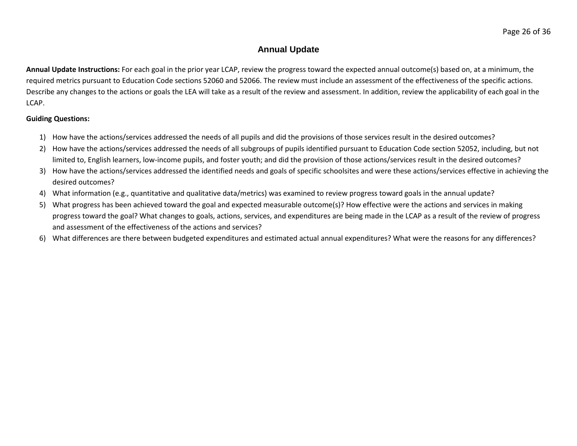## **Annual Update**

**Annual Update Instructions:** For each goal in the prior year LCAP, review the progress toward the expected annual outcome(s) based on, at a minimum, the required metrics pursuant to Education Code sections 52060 and 52066. The review must include an assessment of the effectiveness of the specific actions. Describe any changes to the actions or goals the LEA will take as a result of the review and assessment. In addition, review the applicability of each goal in the LCAP.

### **Guiding Questions:**

- 1) How have the actions/services addressed the needs of all pupils and did the provisions of those services result in the desired outcomes?
- 2) How have the actions/services addressed the needs of all subgroups of pupils identified pursuant to Education Code section 52052, including, but not limited to, English learners, low-income pupils, and foster youth; and did the provision of those actions/services result in the desired outcomes?
- 3) How have the actions/services addressed the identified needs and goals of specific schoolsites and were these actions/services effective in achieving the desired outcomes?
- 4) What information (e.g., quantitative and qualitative data/metrics) was examined to review progress toward goals in the annual update?
- 5) What progress has been achieved toward the goal and expected measurable outcome(s)? How effective were the actions and services in making progress toward the goal? What changes to goals, actions, services, and expenditures are being made in the LCAP as a result of the review of progress and assessment of the effectiveness of the actions and services?
- 6) What differences are there between budgeted expenditures and estimated actual annual expenditures? What were the reasons for any differences?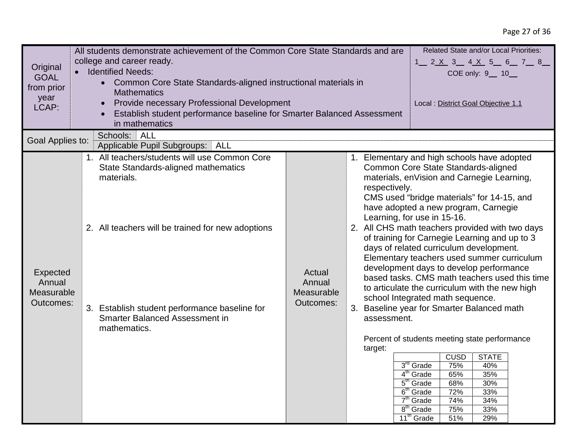# Page 27 of 36

| Original<br><b>GOAL</b><br>from prior<br>year<br>LCAP: | Related State and/or Local Priorities:<br>All students demonstrate achievement of the Common Core State Standards and are<br>college and career ready.<br>$1$ 2 X 3 4 X 5 6 7 8<br><b>Identified Needs:</b><br>COE only: 9 __ 10 __<br>• Common Core State Standards-aligned instructional materials in<br><b>Mathematics</b><br>Provide necessary Professional Development<br>Local : District Goal Objective 1.1<br>$\bullet$<br>Establish student performance baseline for Smarter Balanced Assessment<br>in mathematics<br><b>ALL</b><br>Schools: |                                             |                                                                                                                                                                                                                                                                                                                                                                                                                                                                                                                                                                                                                                                                                                                                                                                                                                                                                                                                                                                                                                                                                       |  |  |
|--------------------------------------------------------|-------------------------------------------------------------------------------------------------------------------------------------------------------------------------------------------------------------------------------------------------------------------------------------------------------------------------------------------------------------------------------------------------------------------------------------------------------------------------------------------------------------------------------------------------------|---------------------------------------------|---------------------------------------------------------------------------------------------------------------------------------------------------------------------------------------------------------------------------------------------------------------------------------------------------------------------------------------------------------------------------------------------------------------------------------------------------------------------------------------------------------------------------------------------------------------------------------------------------------------------------------------------------------------------------------------------------------------------------------------------------------------------------------------------------------------------------------------------------------------------------------------------------------------------------------------------------------------------------------------------------------------------------------------------------------------------------------------|--|--|
| Goal Applies to:                                       | Applicable Pupil Subgroups:<br>ALL                                                                                                                                                                                                                                                                                                                                                                                                                                                                                                                    |                                             |                                                                                                                                                                                                                                                                                                                                                                                                                                                                                                                                                                                                                                                                                                                                                                                                                                                                                                                                                                                                                                                                                       |  |  |
| Expected<br>Annual<br>Measurable<br>Outcomes:          | 1. All teachers/students will use Common Core<br>State Standards-aligned mathematics<br>materials.<br>2. All teachers will be trained for new adoptions<br>3. Establish student performance baseline for<br><b>Smarter Balanced Assessment in</b><br>mathematics.                                                                                                                                                                                                                                                                                     | Actual<br>Annual<br>Measurable<br>Outcomes: | 1. Elementary and high schools have adopted<br>Common Core State Standards-aligned<br>materials, enVision and Carnegie Learning,<br>respectively.<br>CMS used "bridge materials" for 14-15, and<br>have adopted a new program, Carnegie<br>Learning, for use in 15-16.<br>2. All CHS math teachers provided with two days<br>of training for Carnegie Learning and up to 3<br>days of related curriculum development.<br>Elementary teachers used summer curriculum<br>development days to develop performance<br>based tasks. CMS math teachers used this time<br>to articulate the curriculum with the new high<br>school Integrated math sequence.<br>3. Baseline year for Smarter Balanced math<br>assessment.<br>Percent of students meeting state performance<br>target:<br><b>CUSD</b><br><b>STATE</b><br>3 <sup>rd</sup> Grade<br>75%<br>40%<br>4 <sup>th</sup> Grade<br>35%<br>65%<br>5 <sup>th</sup> Grade<br>30%<br>68%<br>6 <sup>th</sup> Grade<br>72%<br>33%<br>$7th$ Grade<br>34%<br>74%<br>8 <sup>th</sup> Grade<br>75%<br>33%<br>11 <sup>th</sup> Grade<br>29%<br>51% |  |  |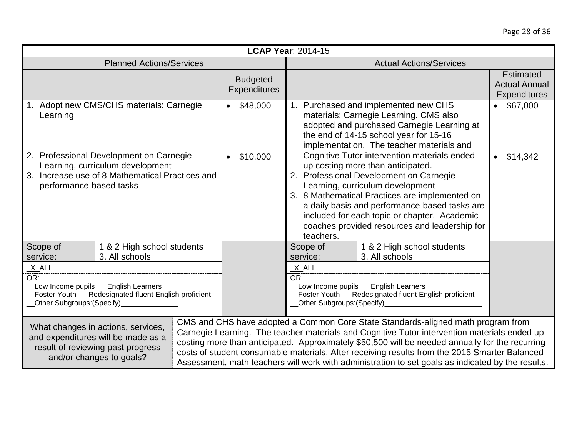| <b>LCAP Year: 2014-15</b>                                                                                                                                             |                                 |                                        |                                                                                                                                                                                                                                           |                                                                                                                                                                                                                                                                                                                                                                                                                                                                                           |                                                                 |
|-----------------------------------------------------------------------------------------------------------------------------------------------------------------------|---------------------------------|----------------------------------------|-------------------------------------------------------------------------------------------------------------------------------------------------------------------------------------------------------------------------------------------|-------------------------------------------------------------------------------------------------------------------------------------------------------------------------------------------------------------------------------------------------------------------------------------------------------------------------------------------------------------------------------------------------------------------------------------------------------------------------------------------|-----------------------------------------------------------------|
|                                                                                                                                                                       | <b>Planned Actions/Services</b> |                                        | <b>Actual Actions/Services</b>                                                                                                                                                                                                            |                                                                                                                                                                                                                                                                                                                                                                                                                                                                                           |                                                                 |
|                                                                                                                                                                       |                                 | <b>Budgeted</b><br><b>Expenditures</b> |                                                                                                                                                                                                                                           |                                                                                                                                                                                                                                                                                                                                                                                                                                                                                           | <b>Estimated</b><br><b>Actual Annual</b><br><b>Expenditures</b> |
| Adopt new CMS/CHS materials: Carnegie<br>$\bullet$ \$48,000<br>Learning                                                                                               |                                 |                                        | 1. Purchased and implemented new CHS<br>$\bullet$ \$67,000<br>materials: Carnegie Learning. CMS also<br>adopted and purchased Carnegie Learning at<br>the end of 14-15 school year for 15-16<br>implementation. The teacher materials and |                                                                                                                                                                                                                                                                                                                                                                                                                                                                                           |                                                                 |
| 2. Professional Development on Carnegie<br>\$10,000<br>Learning, curriculum development<br>3. Increase use of 8 Mathematical Practices and<br>performance-based tasks |                                 |                                        | teachers.                                                                                                                                                                                                                                 | Cognitive Tutor intervention materials ended<br>up costing more than anticipated.<br>2. Professional Development on Carnegie<br>Learning, curriculum development<br>3. 8 Mathematical Practices are implemented on<br>a daily basis and performance-based tasks are<br>included for each topic or chapter. Academic<br>coaches provided resources and leadership for                                                                                                                      | \$14,342                                                        |
| Scope of<br>3. All schools<br>service:                                                                                                                                | 1 & 2 High school students      |                                        | Scope of<br>service:                                                                                                                                                                                                                      | 1 & 2 High school students<br>3. All schools                                                                                                                                                                                                                                                                                                                                                                                                                                              |                                                                 |
| X_ALL<br>OR:<br>Low Income pupils _ English Learners<br>Foster Youth _Redesignated fluent English proficient<br>_Other Subgroups: (Specify)_                          |                                 |                                        | $X$ ALL<br>OR:<br>Low Income pupils _English Learners<br>Foster Youth __Redesignated fluent English proficient<br>_Other Subgroups:(Specify)_                                                                                             |                                                                                                                                                                                                                                                                                                                                                                                                                                                                                           |                                                                 |
| What changes in actions, services,<br>and expenditures will be made as a<br>result of reviewing past progress<br>and/or changes to goals?                             |                                 |                                        |                                                                                                                                                                                                                                           | CMS and CHS have adopted a Common Core State Standards-aligned math program from<br>Carnegie Learning. The teacher materials and Cognitive Tutor intervention materials ended up<br>costing more than anticipated. Approximately \$50,500 will be needed annually for the recurring<br>costs of student consumable materials. After receiving results from the 2015 Smarter Balanced<br>Assessment, math teachers will work with administration to set goals as indicated by the results. |                                                                 |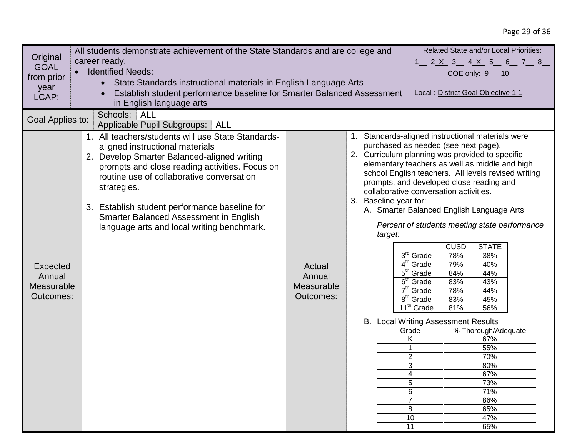|                  | Related State and/or Local Priorities:<br>All students demonstrate achievement of the State Standards and are college and |            |                       |                            |                                                                                                                                              |  |
|------------------|---------------------------------------------------------------------------------------------------------------------------|------------|-----------------------|----------------------------|----------------------------------------------------------------------------------------------------------------------------------------------|--|
| Original         | career ready.<br>$1$ 2 X 3 4 X 5 6 7 8                                                                                    |            |                       |                            |                                                                                                                                              |  |
| <b>GOAL</b>      | <b>Identified Needs:</b>                                                                                                  |            |                       |                            | COE only: 9 __ 10 __                                                                                                                         |  |
| from prior       | State Standards instructional materials in English Language Arts<br>$\bullet$                                             |            |                       |                            |                                                                                                                                              |  |
| year             | Establish student performance baseline for Smarter Balanced Assessment                                                    |            |                       |                            | Local : District Goal Objective 1.1                                                                                                          |  |
| LCAP:            | in English language arts                                                                                                  |            |                       |                            |                                                                                                                                              |  |
|                  | <b>ALL</b><br>Schools:                                                                                                    |            |                       |                            |                                                                                                                                              |  |
| Goal Applies to: | Applicable Pupil Subgroups:   ALL                                                                                         |            |                       |                            |                                                                                                                                              |  |
|                  | 1. All teachers/students will use State Standards-<br>aligned instructional materials                                     |            |                       |                            | 1. Standards-aligned instructional materials were<br>purchased as needed (see next page).<br>2. Curriculum planning was provided to specific |  |
|                  | 2. Develop Smarter Balanced-aligned writing                                                                               |            |                       |                            | elementary teachers as well as middle and high                                                                                               |  |
|                  | prompts and close reading activities. Focus on                                                                            |            |                       |                            | school English teachers. All levels revised writing                                                                                          |  |
|                  | routine use of collaborative conversation                                                                                 |            |                       |                            | prompts, and developed close reading and                                                                                                     |  |
|                  | strategies.                                                                                                               |            |                       |                            | collaborative conversation activities.                                                                                                       |  |
|                  |                                                                                                                           |            | 3. Baseline year for: |                            |                                                                                                                                              |  |
|                  | 3. Establish student performance baseline for                                                                             |            |                       |                            | A. Smarter Balanced English Language Arts                                                                                                    |  |
|                  | Smarter Balanced Assessment in English                                                                                    |            |                       |                            |                                                                                                                                              |  |
|                  | language arts and local writing benchmark.                                                                                |            |                       |                            | Percent of students meeting state performance                                                                                                |  |
|                  |                                                                                                                           |            | target:               |                            |                                                                                                                                              |  |
|                  |                                                                                                                           |            |                       |                            | <b>CUSD</b><br><b>STATE</b>                                                                                                                  |  |
|                  |                                                                                                                           |            |                       | 3 <sup>rd</sup> Grade      | 78%<br>38%                                                                                                                                   |  |
| <b>Expected</b>  |                                                                                                                           | Actual     |                       | 4 <sup>th</sup><br>Grade   | 79%<br>40%                                                                                                                                   |  |
| Annual           |                                                                                                                           | Annual     |                       | $5th$ Grade<br>$6th$ Grade | 84%<br>44%<br>43%                                                                                                                            |  |
| Measurable       |                                                                                                                           | Measurable |                       | 7 <sup>th</sup><br>Grade   | 83%<br>78%<br>44%                                                                                                                            |  |
| Outcomes:        |                                                                                                                           | Outcomes:  |                       | $8th$ Grade                | 45%<br>83%                                                                                                                                   |  |
|                  |                                                                                                                           |            |                       | 11 <sup>th</sup> Grade     | 81%<br>56%                                                                                                                                   |  |
|                  |                                                                                                                           |            |                       |                            | B. Local Writing Assessment Results                                                                                                          |  |
|                  |                                                                                                                           |            |                       | Grade                      | % Thorough/Adequate                                                                                                                          |  |
|                  |                                                                                                                           |            |                       | K                          | 67%                                                                                                                                          |  |
|                  |                                                                                                                           |            |                       | $\mathbf 1$                | 55%                                                                                                                                          |  |
|                  |                                                                                                                           |            |                       | $\overline{2}$             | 70%                                                                                                                                          |  |
|                  |                                                                                                                           |            |                       | 3                          | 80%                                                                                                                                          |  |
|                  |                                                                                                                           |            |                       | 4<br>5                     | 67%<br>73%                                                                                                                                   |  |
|                  |                                                                                                                           |            |                       | 6                          | 71%                                                                                                                                          |  |
|                  |                                                                                                                           |            |                       | $\overline{7}$             | 86%                                                                                                                                          |  |
|                  |                                                                                                                           |            |                       | 8                          | 65%                                                                                                                                          |  |
|                  |                                                                                                                           |            |                       | 10                         | 47%                                                                                                                                          |  |
|                  |                                                                                                                           |            |                       | 11                         | 65%                                                                                                                                          |  |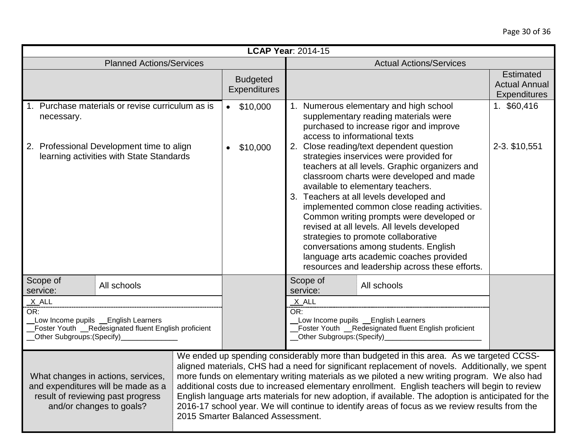|                                                                                                                                                         | <b>LCAP Year: 2014-15</b>              |                                                                                                                                                                                                                                                                                                                                                                                                                                                                                                                                                                                                                                                                                                                                                         |                                                                 |  |
|---------------------------------------------------------------------------------------------------------------------------------------------------------|----------------------------------------|---------------------------------------------------------------------------------------------------------------------------------------------------------------------------------------------------------------------------------------------------------------------------------------------------------------------------------------------------------------------------------------------------------------------------------------------------------------------------------------------------------------------------------------------------------------------------------------------------------------------------------------------------------------------------------------------------------------------------------------------------------|-----------------------------------------------------------------|--|
| <b>Planned Actions/Services</b>                                                                                                                         |                                        | <b>Actual Actions/Services</b>                                                                                                                                                                                                                                                                                                                                                                                                                                                                                                                                                                                                                                                                                                                          |                                                                 |  |
|                                                                                                                                                         | <b>Budgeted</b><br><b>Expenditures</b> |                                                                                                                                                                                                                                                                                                                                                                                                                                                                                                                                                                                                                                                                                                                                                         | <b>Estimated</b><br><b>Actual Annual</b><br><b>Expenditures</b> |  |
| 1. Purchase materials or revise curriculum as is<br>necessary.<br>2. Professional Development time to align<br>learning activities with State Standards | \$10,000<br>\$10,000<br>$\bullet$      | 1. Numerous elementary and high school<br>supplementary reading materials were<br>purchased to increase rigor and improve<br>access to informational texts<br>2. Close reading/text dependent question<br>strategies inservices were provided for<br>teachers at all levels. Graphic organizers and<br>classroom charts were developed and made<br>available to elementary teachers.<br>3. Teachers at all levels developed and<br>implemented common close reading activities.<br>Common writing prompts were developed or<br>revised at all levels. All levels developed<br>strategies to promote collaborative<br>conversations among students. English<br>language arts academic coaches provided<br>resources and leadership across these efforts. | 1. \$60,416<br>2-3. \$10,551                                    |  |
| Scope of<br>All schools<br>service:                                                                                                                     |                                        | Scope of<br>All schools<br>service:                                                                                                                                                                                                                                                                                                                                                                                                                                                                                                                                                                                                                                                                                                                     |                                                                 |  |
| $X$ ALL<br>OR:<br>Low Income pupils _English Learners<br>Foster Youth _Redesignated fluent English proficient<br><b>Other Subgroups: (Specify)</b>      |                                        | $X$ $ALL$<br>OR:<br>Low Income pupils _English Learners<br>Foster Youth _Redesignated fluent English proficient<br><b>_Other Subgroups: (Specify)_</b>                                                                                                                                                                                                                                                                                                                                                                                                                                                                                                                                                                                                  |                                                                 |  |
| What changes in actions, services,<br>and expenditures will be made as a<br>result of reviewing past progress<br>and/or changes to goals?               | 2015 Smarter Balanced Assessment.      | We ended up spending considerably more than budgeted in this area. As we targeted CCSS-<br>aligned materials, CHS had a need for significant replacement of novels. Additionally, we spent<br>more funds on elementary writing materials as we piloted a new writing program. We also had<br>additional costs due to increased elementary enrollment. English teachers will begin to review<br>English language arts materials for new adoption, if available. The adoption is anticipated for the<br>2016-17 school year. We will continue to identify areas of focus as we review results from the                                                                                                                                                    |                                                                 |  |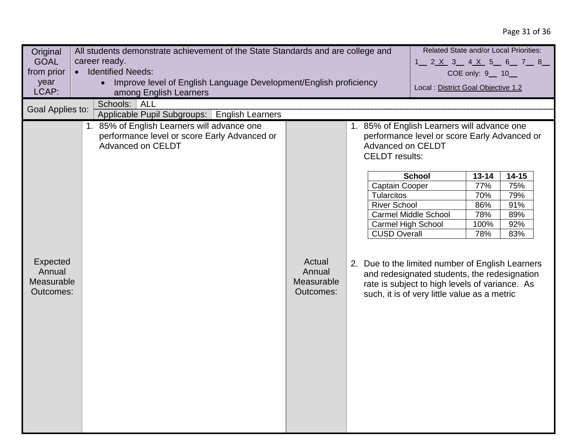# Page 31 of 36

| Original                                      | All students demonstrate achievement of the State Standards and are college and                                  |                                             |                                                                                                             |                                                                                                                                                |                  | Related State and/or Local Priorities: |
|-----------------------------------------------|------------------------------------------------------------------------------------------------------------------|---------------------------------------------|-------------------------------------------------------------------------------------------------------------|------------------------------------------------------------------------------------------------------------------------------------------------|------------------|----------------------------------------|
| <b>GOAL</b>                                   | career ready.                                                                                                    | 1 2 X 3 4 X 5 6 7 8                         |                                                                                                             |                                                                                                                                                |                  |                                        |
| from prior                                    | <b>Identified Needs:</b>                                                                                         |                                             |                                                                                                             |                                                                                                                                                | COE only: 9_ 10_ |                                        |
| year                                          | Improve level of English Language Development/English proficiency                                                |                                             |                                                                                                             |                                                                                                                                                |                  |                                        |
| LCAP:                                         | among English Learners                                                                                           |                                             |                                                                                                             | Local : District Goal Objective 1.2                                                                                                            |                  |                                        |
| Goal Applies to:                              | Schools: ALL                                                                                                     |                                             |                                                                                                             |                                                                                                                                                |                  |                                        |
|                                               | Applicable Pupil Subgroups:   English Learners                                                                   |                                             |                                                                                                             |                                                                                                                                                |                  |                                        |
|                                               | 1. 85% of English Learners will advance one<br>performance level or score Early Advanced or<br>Advanced on CELDT |                                             | 1. 85% of English Learners will advance one<br>Advanced on CELDT<br><b>CELDT</b> results:<br>Captain Cooper | performance level or score Early Advanced or<br><b>School</b>                                                                                  | $13 - 14$<br>77% | $14 - 15$<br>75%                       |
|                                               |                                                                                                                  |                                             | <b>Tularcitos</b>                                                                                           |                                                                                                                                                | 70%              | 79%                                    |
|                                               |                                                                                                                  |                                             | <b>River School</b>                                                                                         |                                                                                                                                                | 86%              | 91%                                    |
|                                               |                                                                                                                  |                                             |                                                                                                             | <b>Carmel Middle School</b>                                                                                                                    | 78%              | 89%                                    |
|                                               |                                                                                                                  |                                             | <b>Carmel High School</b>                                                                                   |                                                                                                                                                | 100%             | 92%                                    |
|                                               |                                                                                                                  |                                             | <b>CUSD Overall</b>                                                                                         |                                                                                                                                                | 78%              | 83%                                    |
| Expected<br>Annual<br>Measurable<br>Outcomes: |                                                                                                                  | Actual<br>Annual<br>Measurable<br>Outcomes: | 2. Due to the limited number of English Learners                                                            | and redesignated students, the redesignation<br>rate is subject to high levels of variance. As<br>such, it is of very little value as a metric |                  |                                        |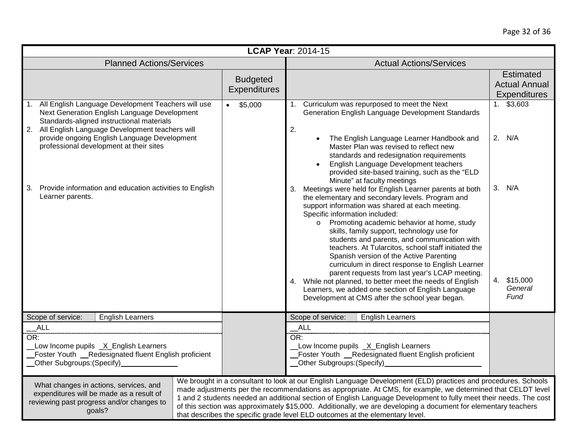|                                                                                                                                                                                                                                                                                                    |                                        | <b>LCAP Year: 2014-15</b>                                                                                                                                                                                                                                                                                                                                                                                                                                                                                                                                                                                                                                                                                                                                                                                       |                                                                 |  |
|----------------------------------------------------------------------------------------------------------------------------------------------------------------------------------------------------------------------------------------------------------------------------------------------------|----------------------------------------|-----------------------------------------------------------------------------------------------------------------------------------------------------------------------------------------------------------------------------------------------------------------------------------------------------------------------------------------------------------------------------------------------------------------------------------------------------------------------------------------------------------------------------------------------------------------------------------------------------------------------------------------------------------------------------------------------------------------------------------------------------------------------------------------------------------------|-----------------------------------------------------------------|--|
| <b>Planned Actions/Services</b>                                                                                                                                                                                                                                                                    |                                        | <b>Actual Actions/Services</b>                                                                                                                                                                                                                                                                                                                                                                                                                                                                                                                                                                                                                                                                                                                                                                                  |                                                                 |  |
|                                                                                                                                                                                                                                                                                                    | <b>Budgeted</b><br><b>Expenditures</b> |                                                                                                                                                                                                                                                                                                                                                                                                                                                                                                                                                                                                                                                                                                                                                                                                                 | <b>Estimated</b><br><b>Actual Annual</b><br><b>Expenditures</b> |  |
| 1. All English Language Development Teachers will use<br>Next Generation English Language Development<br>Standards-aligned instructional materials<br>2. All English Language Development teachers will<br>provide ongoing English Language Development<br>professional development at their sites | \$5,000<br>$\bullet$                   | 1. Curriculum was repurposed to meet the Next<br>Generation English Language Development Standards<br>2.<br>The English Language Learner Handbook and<br>$\bullet$<br>Master Plan was revised to reflect new<br>standards and redesignation requirements<br>English Language Development teachers                                                                                                                                                                                                                                                                                                                                                                                                                                                                                                               | $1.$ \$3,603<br>2. N/A                                          |  |
| Provide information and education activities to English<br>3.<br>Learner parents.                                                                                                                                                                                                                  |                                        | provided site-based training, such as the "ELD<br>Minute" at faculty meetings<br>3. Meetings were held for English Learner parents at both<br>the elementary and secondary levels. Program and<br>support information was shared at each meeting.<br>Specific information included:<br>o Promoting academic behavior at home, study<br>skills, family support, technology use for<br>students and parents, and communication with<br>teachers. At Tularcitos, school staff initiated the<br>Spanish version of the Active Parenting<br>curriculum in direct response to English Learner<br>parent requests from last year's LCAP meeting.<br>4. While not planned, to better meet the needs of English<br>Learners, we added one section of English Language<br>Development at CMS after the school year began. | 3. N/A<br>4. \$15,000<br>General<br>Fund                        |  |
| <b>English Learners</b><br>Scope of service:<br>ALL<br>OR:<br>Low Income pupils _X_English Learners<br>Foster Youth __Redesignated fluent English proficient                                                                                                                                       |                                        | Scope of service:<br><b>English Learners</b><br>ALL<br>OR:<br>Low Income pupils _X_English Learners<br>Foster Youth _Redesignated fluent English proficient<br>__Other Subgroups:(Specify)________________________                                                                                                                                                                                                                                                                                                                                                                                                                                                                                                                                                                                              |                                                                 |  |
| What changes in actions, services, and<br>expenditures will be made as a result of<br>reviewing past progress and/or changes to<br>goals?                                                                                                                                                          |                                        | We brought in a consultant to look at our English Language Development (ELD) practices and procedures. Schools<br>made adjustments per the recommendations as appropriate. At CMS, for example, we determined that CELDT level<br>1 and 2 students needed an additional section of English Language Development to fully meet their needs. The cost<br>of this section was approximately \$15,000. Additionally, we are developing a document for elementary teachers<br>that describes the specific grade level ELD outcomes at the elementary level.                                                                                                                                                                                                                                                          |                                                                 |  |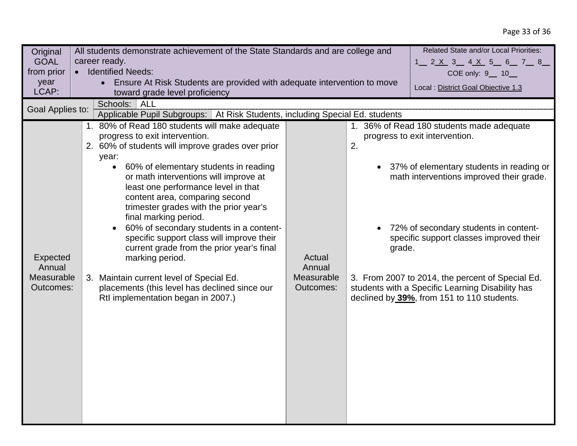## Page 33 of 36

| Original         | Related State and/or Local Priorities:<br>All students demonstrate achievement of the State Standards and are college and |                      |                                       |                                                  |  |  |
|------------------|---------------------------------------------------------------------------------------------------------------------------|----------------------|---------------------------------------|--------------------------------------------------|--|--|
| <b>GOAL</b>      | career ready.<br>1__ 2 <u>X</u> 3__ 4 <u>X</u> 5_ 6__ 7__ 8__                                                             |                      |                                       |                                                  |  |  |
| from prior       | <b>Identified Needs:</b><br>$\bullet$                                                                                     | COE only: 9 __ 10 __ |                                       |                                                  |  |  |
| year             | Ensure At Risk Students are provided with adequate intervention to move<br>$\bullet$                                      |                      |                                       | Local : District Goal Objective 1.3              |  |  |
| LCAP:            | toward grade level proficiency                                                                                            |                      |                                       |                                                  |  |  |
| Goal Applies to: | ALL<br>Schools:                                                                                                           |                      |                                       |                                                  |  |  |
|                  | Applicable Pupil Subgroups:   At Risk Students, including Special Ed. students                                            |                      |                                       |                                                  |  |  |
|                  | 1. 80% of Read 180 students will make adequate                                                                            |                      |                                       | 1. 36% of Read 180 students made adequate        |  |  |
|                  | progress to exit intervention.                                                                                            |                      |                                       | progress to exit intervention.                   |  |  |
|                  | 2. 60% of students will improve grades over prior                                                                         |                      | 2.                                    |                                                  |  |  |
|                  | year:                                                                                                                     |                      |                                       |                                                  |  |  |
|                  | 60% of elementary students in reading                                                                                     |                      |                                       | 37% of elementary students in reading or         |  |  |
|                  | or math interventions will improve at<br>least one performance level in that                                              |                      |                                       | math interventions improved their grade.         |  |  |
|                  | content area, comparing second                                                                                            |                      |                                       |                                                  |  |  |
|                  | trimester grades with the prior year's                                                                                    |                      |                                       |                                                  |  |  |
|                  | final marking period.                                                                                                     |                      |                                       |                                                  |  |  |
|                  | 60% of secondary students in a content-<br>specific support class will improve their                                      |                      | 72% of secondary students in content- |                                                  |  |  |
|                  |                                                                                                                           |                      |                                       | specific support classes improved their          |  |  |
|                  | current grade from the prior year's final                                                                                 |                      | grade.                                |                                                  |  |  |
| Expected         | marking period.                                                                                                           | Actual               |                                       |                                                  |  |  |
| Annual           |                                                                                                                           | Annual               |                                       |                                                  |  |  |
| Measurable       | 3. Maintain current level of Special Ed.                                                                                  | Measurable           |                                       | 3. From 2007 to 2014, the percent of Special Ed. |  |  |
| Outcomes:        | placements (this level has declined since our                                                                             | Outcomes:            |                                       | students with a Specific Learning Disability has |  |  |
|                  | Rtl implementation began in 2007.)                                                                                        |                      |                                       | declined by 39%, from 151 to 110 students.       |  |  |
|                  |                                                                                                                           |                      |                                       |                                                  |  |  |
|                  |                                                                                                                           |                      |                                       |                                                  |  |  |
|                  |                                                                                                                           |                      |                                       |                                                  |  |  |
|                  |                                                                                                                           |                      |                                       |                                                  |  |  |
|                  |                                                                                                                           |                      |                                       |                                                  |  |  |
|                  |                                                                                                                           |                      |                                       |                                                  |  |  |
|                  |                                                                                                                           |                      |                                       |                                                  |  |  |
|                  |                                                                                                                           |                      |                                       |                                                  |  |  |
|                  |                                                                                                                           |                      |                                       |                                                  |  |  |
|                  |                                                                                                                           |                      |                                       |                                                  |  |  |
|                  |                                                                                                                           |                      |                                       |                                                  |  |  |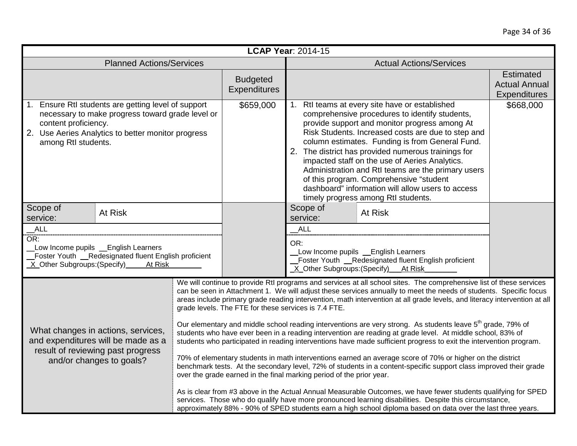| <b>LCAP Year: 2014-15</b>                                                                                                                                                                                    |                                                      |                                                                                                                                                                                                                                                                                                                                                                                                                                                                                                                                                                                                                                                                                                                                                                                                                                                                                                                                                                                                                                                                                                                                                                                                                                                                                                                                                                                           |  |  |
|--------------------------------------------------------------------------------------------------------------------------------------------------------------------------------------------------------------|------------------------------------------------------|-------------------------------------------------------------------------------------------------------------------------------------------------------------------------------------------------------------------------------------------------------------------------------------------------------------------------------------------------------------------------------------------------------------------------------------------------------------------------------------------------------------------------------------------------------------------------------------------------------------------------------------------------------------------------------------------------------------------------------------------------------------------------------------------------------------------------------------------------------------------------------------------------------------------------------------------------------------------------------------------------------------------------------------------------------------------------------------------------------------------------------------------------------------------------------------------------------------------------------------------------------------------------------------------------------------------------------------------------------------------------------------------|--|--|
| <b>Planned Actions/Services</b>                                                                                                                                                                              |                                                      | <b>Actual Actions/Services</b>                                                                                                                                                                                                                                                                                                                                                                                                                                                                                                                                                                                                                                                                                                                                                                                                                                                                                                                                                                                                                                                                                                                                                                                                                                                                                                                                                            |  |  |
|                                                                                                                                                                                                              | <b>Budgeted</b><br><b>Expenditures</b>               | <b>Estimated</b><br><b>Actual Annual</b><br><b>Expenditures</b>                                                                                                                                                                                                                                                                                                                                                                                                                                                                                                                                                                                                                                                                                                                                                                                                                                                                                                                                                                                                                                                                                                                                                                                                                                                                                                                           |  |  |
| 1. Ensure Rtl students are getting level of support<br>necessary to make progress toward grade level or<br>content proficiency.<br>2. Use Aeries Analytics to better monitor progress<br>among RtI students. | \$659,000                                            | 1. Rtl teams at every site have or established<br>\$668,000<br>comprehensive procedures to identify students,<br>provide support and monitor progress among At<br>Risk Students. Increased costs are due to step and<br>column estimates. Funding is from General Fund.<br>2. The district has provided numerous trainings for<br>impacted staff on the use of Aeries Analytics.<br>Administration and RtI teams are the primary users<br>of this program. Comprehensive "student<br>dashboard" information will allow users to access<br>timely progress among Rtl students.                                                                                                                                                                                                                                                                                                                                                                                                                                                                                                                                                                                                                                                                                                                                                                                                             |  |  |
| Scope of<br>At Risk<br>service:                                                                                                                                                                              |                                                      | Scope of<br>At Risk<br>service:                                                                                                                                                                                                                                                                                                                                                                                                                                                                                                                                                                                                                                                                                                                                                                                                                                                                                                                                                                                                                                                                                                                                                                                                                                                                                                                                                           |  |  |
| ALL<br>OR:<br>Low Income pupils _ English Learners<br>Foster Youth _Redesignated fluent English proficient<br>_X_Other Subgroups:(Specify)_<br>At Risk                                                       |                                                      | ALL<br>OR:<br>Low Income pupils _English Learners<br>Foster Youth __Redesignated fluent English proficient<br>X Other Subgroups: (Specify) At Risk                                                                                                                                                                                                                                                                                                                                                                                                                                                                                                                                                                                                                                                                                                                                                                                                                                                                                                                                                                                                                                                                                                                                                                                                                                        |  |  |
| What changes in actions, services,<br>and expenditures will be made as a<br>result of reviewing past progress<br>and/or changes to goals?                                                                    | grade levels. The FTE for these services is 7.4 FTE. | We will continue to provide RtI programs and services at all school sites. The comprehensive list of these services<br>can be seen in Attachment 1. We will adjust these services annually to meet the needs of students. Specific focus<br>areas include primary grade reading intervention, math intervention at all grade levels, and literacy intervention at all<br>Our elementary and middle school reading interventions are very strong. As students leave 5 <sup>th</sup> grade, 79% of<br>students who have ever been in a reading intervention are reading at grade level. At middle school, 83% of<br>students who participated in reading interventions have made sufficient progress to exit the intervention program.<br>70% of elementary students in math interventions earned an average score of 70% or higher on the district<br>benchmark tests. At the secondary level, 72% of students in a content-specific support class improved their grade<br>over the grade earned in the final marking period of the prior year.<br>As is clear from #3 above in the Actual Annual Measurable Outcomes, we have fewer students qualifying for SPED<br>services. Those who do qualify have more pronounced learning disabilities. Despite this circumstance,<br>approximately 88% - 90% of SPED students earn a high school diploma based on data over the last three years. |  |  |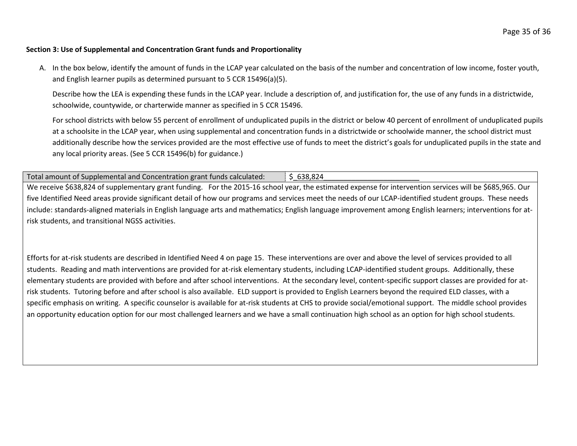#### **Section 3: Use of Supplemental and Concentration Grant funds and Proportionality**

A. In the box below, identify the amount of funds in the LCAP year calculated on the basis of the number and concentration of low income, foster youth, and English learner pupils as determined pursuant to 5 CCR 15496(a)(5).

Describe how the LEA is expending these funds in the LCAP year. Include a description of, and justification for, the use of any funds in a districtwide, schoolwide, countywide, or charterwide manner as specified in 5 CCR 15496.

For school districts with below 55 percent of enrollment of unduplicated pupils in the district or below 40 percent of enrollment of unduplicated pupils at a schoolsite in the LCAP year, when using supplemental and concentration funds in a districtwide or schoolwide manner, the school district must additionally describe how the services provided are the most effective use of funds to meet the district's goals for unduplicated pupils in the state and any local priority areas. (See 5 CCR 15496(b) for guidance.)

Total amount of Supplemental and Concentration grant funds calculated:  $\frac{1}{5}$  638,824

We receive \$638,824 of supplementary grant funding. For the 2015-16 school year, the estimated expense for intervention services will be \$685,965. Our five Identified Need areas provide significant detail of how our programs and services meet the needs of our LCAP-identified student groups. These needs include: standards-aligned materials in English language arts and mathematics; English language improvement among English learners; interventions for atrisk students, and transitional NGSS activities.

Efforts for at-risk students are described in Identified Need 4 on page 15. These interventions are over and above the level of services provided to all students. Reading and math interventions are provided for at-risk elementary students, including LCAP-identified student groups. Additionally, these elementary students are provided with before and after school interventions. At the secondary level, content-specific support classes are provided for atrisk students. Tutoring before and after school is also available. ELD support is provided to English Learners beyond the required ELD classes, with a specific emphasis on writing. A specific counselor is available for at-risk students at CHS to provide social/emotional support. The middle school provides an opportunity education option for our most challenged learners and we have a small continuation high school as an option for high school students.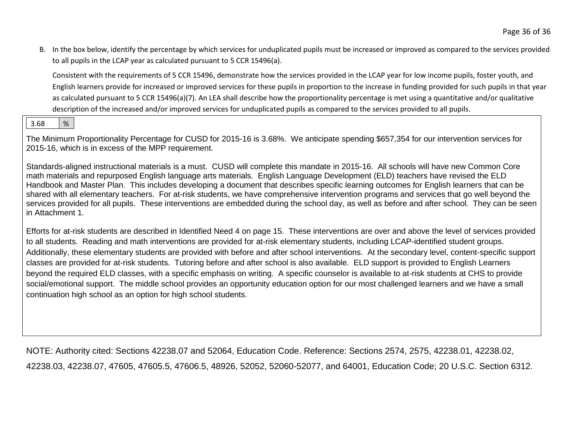B. In the box below, identify the percentage by which services for unduplicated pupils must be increased or improved as compared to the services provided to all pupils in the LCAP year as calculated pursuant to 5 CCR 15496(a).

Consistent with the requirements of 5 CCR 15496, demonstrate how the services provided in the LCAP year for low income pupils, foster youth, and English learners provide for increased or improved services for these pupils in proportion to the increase in funding provided for such pupils in that year as calculated pursuant to 5 CCR 15496(a)(7). An LEA shall describe how the proportionality percentage is met using a quantitative and/or qualitative description of the increased and/or improved services for unduplicated pupils as compared to the services provided to all pupils.

## 3.68  $\frac{1}{6}$

The Minimum Proportionality Percentage for CUSD for 2015-16 is 3.68%. We anticipate spending \$657,354 for our intervention services for 2015-16, which is in excess of the MPP requirement.

Standards-aligned instructional materials is a must. CUSD will complete this mandate in 2015-16. All schools will have new Common Core math materials and repurposed English language arts materials. English Language Development (ELD) teachers have revised the ELD Handbook and Master Plan. This includes developing a document that describes specific learning outcomes for English learners that can be shared with all elementary teachers. For at-risk students, we have comprehensive intervention programs and services that go well beyond the services provided for all pupils. These interventions are embedded during the school day, as well as before and after school. They can be seen in Attachment 1.

Efforts for at-risk students are described in Identified Need 4 on page 15. These interventions are over and above the level of services provided to all students. Reading and math interventions are provided for at-risk elementary students, including LCAP-identified student groups. Additionally, these elementary students are provided with before and after school interventions. At the secondary level, content-specific support classes are provided for at-risk students. Tutoring before and after school is also available. ELD support is provided to English Learners beyond the required ELD classes, with a specific emphasis on writing. A specific counselor is available to at-risk students at CHS to provide social/emotional support. The middle school provides an opportunity education option for our most challenged learners and we have a small continuation high school as an option for high school students.

NOTE: Authority cited: Sections 42238.07 and 52064, Education Code. Reference: Sections 2574, 2575, 42238.01, 42238.02, 42238.03, 42238.07, 47605, 47605.5, 47606.5, 48926, 52052, 52060-52077, and 64001, Education Code; 20 U.S.C. Section 6312.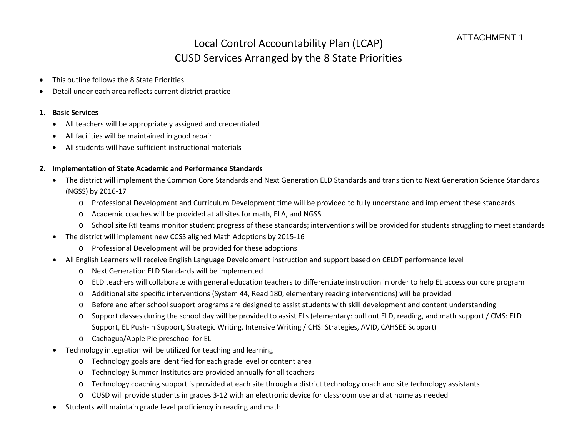# Local Control Accountability Plan (LCAP) CUSD Services Arranged by the 8 State Priorities

- This outline follows the 8 State Priorities
- Detail under each area reflects current district practice

### **1. Basic Services**

- All teachers will be appropriately assigned and credentialed
- All facilities will be maintained in good repair
- All students will have sufficient instructional materials

### **2. Implementation of State Academic and Performance Standards**

- The district will implement the Common Core Standards and Next Generation ELD Standards and transition to Next Generation Science Standards (NGSS) by 2016-17
	- o Professional Development and Curriculum Development time will be provided to fully understand and implement these standards
	- o Academic coaches will be provided at all sites for math, ELA, and NGSS
	- o School site RtI teams monitor student progress of these standards; interventions will be provided for students struggling to meet standards
- The district will implement new CCSS aligned Math Adoptions by 2015-16
	- o Professional Development will be provided for these adoptions
- All English Learners will receive English Language Development instruction and support based on CELDT performance level
	- o Next Generation ELD Standards will be implemented
	- o ELD teachers will collaborate with general education teachers to differentiate instruction in order to help EL access our core program
	- o Additional site specific interventions (System 44, Read 180, elementary reading interventions) will be provided
	- o Before and after school support programs are designed to assist students with skill development and content understanding
	- o Support classes during the school day will be provided to assist ELs (elementary: pull out ELD, reading, and math support / CMS: ELD Support, EL Push-In Support, Strategic Writing, Intensive Writing / CHS: Strategies, AVID, CAHSEE Support)
	- o Cachagua/Apple Pie preschool for EL
- Technology integration will be utilized for teaching and learning
	- o Technology goals are identified for each grade level or content area
	- o Technology Summer Institutes are provided annually for all teachers
	- o Technology coaching support is provided at each site through a district technology coach and site technology assistants
	- o CUSD will provide students in grades 3-12 with an electronic device for classroom use and at home as needed
- Students will maintain grade level proficiency in reading and math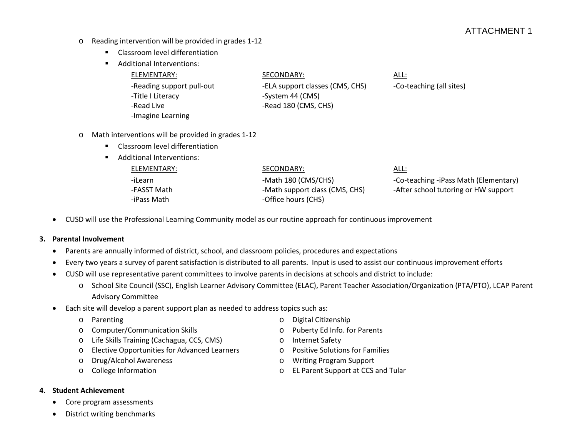## ATTACHMENT 1

- o Reading intervention will be provided in grades 1-12
	- **EXEC** Classroom level differentiation
	- **Additional Interventions:**

| ELEMENTARY:               | SECONDARY:                      | <u>ALL:</u>              |
|---------------------------|---------------------------------|--------------------------|
| -Reading support pull-out | -ELA support classes (CMS, CHS) | -Co-teaching (all sites) |
| -Title I Literacy         | -System 44 (CMS)                |                          |
| -Read Live                | -Read 180 (CMS, CHS)            |                          |
| -Imagine Learning         |                                 |                          |

- o Math interventions will be provided in grades 1-12
	- **EXEC** Classroom level differentiation
	- **Additional Interventions:**

## ELEMENTARY: SECONDARY: ALL: -iLearn community of the Math 180 (CMS/CHS) -Math 180 (CMS/CHS) -Co-teaching -iPass Math (Elementary) -FASST Math -Math support class (CMS, CHS) -After school tutoring or HW support -iPass Math  $-$  Office hours (CHS)

• CUSD will use the Professional Learning Community model as our routine approach for continuous improvement

#### **3. Parental Involvement**

- Parents are annually informed of district, school, and classroom policies, procedures and expectations
- Every two years a survey of parent satisfaction is distributed to all parents. Input is used to assist our continuous improvement efforts
- CUSD will use representative parent committees to involve parents in decisions at schools and district to include:
	- o School Site Council (SSC), English Learner Advisory Committee (ELAC), Parent Teacher Association/Organization (PTA/PTO), LCAP Parent Advisory Committee
- Each site will develop a parent support plan as needed to address topics such as:
	-
	- o Parenting<br>
	o Computer/Communication Skills<br>
	o Puberty Ed Info. fo o Computer/Communication Skills o Puberty Ed Info. for Parents
	- o Life Skills Training (Cachagua, CCS, CMS) o Internet Safety
	- o Elective Opportunities for Advanced Learners o Positive Solutions for Families<br>
	o Drug/Alcohol Awareness o Writing Program Support
	-
	-
- 
- 
- 
- 
- o Drug/Alcohol Awareness o Writing Program Support
- o College Information o EL Parent Support at CCS and Tular
- **4. Student Achievement**
	- Core program assessments
	- District writing benchmarks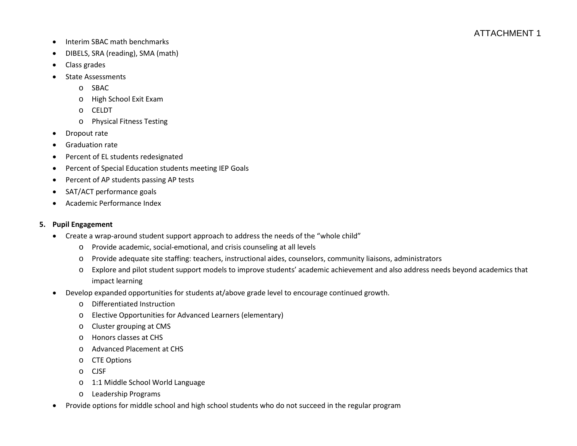- Interim SBAC math benchmarks
- DIBELS, SRA (reading), SMA (math)
- Class grades
- State Assessments
	- o SBAC
	- o High School Exit Exam
	- o CELDT
	- o Physical Fitness Testing
- Dropout rate
- Graduation rate
- Percent of EL students redesignated
- Percent of Special Education students meeting IEP Goals
- Percent of AP students passing AP tests
- SAT/ACT performance goals
- Academic Performance Index

### **5. Pupil Engagement**

- Create a wrap-around student support approach to address the needs of the "whole child"
	- o Provide academic, social-emotional, and crisis counseling at all levels
	- o Provide adequate site staffing: teachers, instructional aides, counselors, community liaisons, administrators
	- o Explore and pilot student support models to improve students' academic achievement and also address needs beyond academics that impact learning
- Develop expanded opportunities for students at/above grade level to encourage continued growth.
	- o Differentiated Instruction
	- o Elective Opportunities for Advanced Learners (elementary)
	- o Cluster grouping at CMS
	- o Honors classes at CHS
	- o Advanced Placement at CHS
	- o CTE Options
	- o CJSF
	- o 1:1 Middle School World Language
	- o Leadership Programs
- Provide options for middle school and high school students who do not succeed in the regular program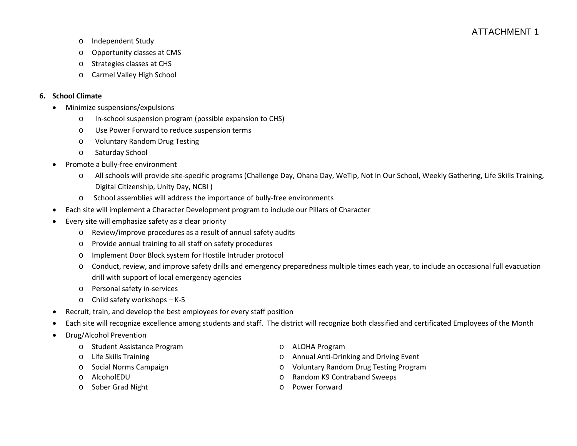- o Independent Study
- o Opportunity classes at CMS
- o Strategies classes at CHS
- o Carmel Valley High School

### **6. School Climate**

- Minimize suspensions/expulsions
	- o In-school suspension program (possible expansion to CHS)
	- o Use Power Forward to reduce suspension terms
	- o Voluntary Random Drug Testing
	- o Saturday School
- Promote a bully-free environment
	- o All schools will provide site-specific programs (Challenge Day, Ohana Day, WeTip, Not In Our School, Weekly Gathering, Life Skills Training, Digital Citizenship, Unity Day, NCBI )
	- o School assemblies will address the importance of bully-free environments
- Each site will implement a Character Development program to include our Pillars of Character
- Every site will emphasize safety as a clear priority
	- o Review/improve procedures as a result of annual safety audits
	- o Provide annual training to all staff on safety procedures
	- o Implement Door Block system for Hostile Intruder protocol
	- o Conduct, review, and improve safety drills and emergency preparedness multiple times each year, to include an occasional full evacuation drill with support of local emergency agencies
	- o Personal safety in-services
	- o Child safety workshops K-5
- Recruit, train, and develop the best employees for every staff position
- Each site will recognize excellence among students and staff. The district will recognize both classified and certificated Employees of the Month
- Drug/Alcohol Prevention
	- o Student Assistance Program **by Community Community** Communication ALOHA Program
	-
	-
	-
	- o Sober Grad Night **but a struck of the Sober Crad Night** o Power Forward
- - o Life Skills Training o Annual Anti-Drinking and Driving Event
	- o Social Norms Campaign o Voluntary Random Drug Testing Program
	- o AlcoholEDU o Random K9 Contraband Sweeps
		-